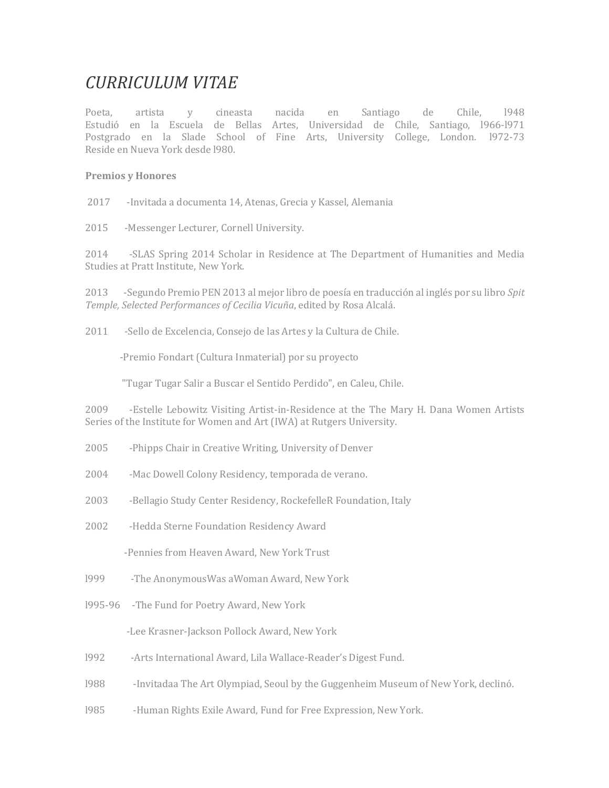# *CURRICULUM VITAE*

Poeta, artista y cineasta nacida en Santiago de Chile, 1948 Estudió en la Escuela de Bellas Artes, Universidad de Chile, Santiago, l966-l971 Postgrado en la Slade School of Fine Arts, University College, London. 1972-73 Reside en Nueva York desde 1980.

# **Premios y** Honores

2017 - Invitada a documenta 14, Atenas, Grecia y Kassel, Alemania

2015 - Messenger Lecturer, Cornell University.

2014 SLAS Spring 2014 Scholar in Residence at The Department of Humanities and Media Studies at Pratt Institute, New York.

2013 Segundo Premio PEN 2013 al mejor libro de poesía en traducción al inglés por su libro *Spit Temple, Selected Performances of Cecilia Vicuña*, edited by Rosa Alcalá.

2011 -Sello de Excelencia, Consejo de las Artes y la Cultura de Chile.

-Premio Fondart (Cultura Inmaterial) por su provecto

"Tugar Tugar Salir a Buscar el Sentido Perdido", en Caleu, Chile.

2009 - Estelle Lebowitz Visiting Artist-in-Residence at the The Mary H. Dana Women Artists Series of the Institute for Women and Art (IWA) at Rutgers University.

- 2005 -Phipps Chair in Creative Writing, University of Denver
- 2004 Mac Dowell Colony Residency, temporada de verano.
- 2003 Bellagio Study Center Residency, RockefelleR Foundation, Italy
- 2002 Hedda Sterne Foundation Residency Award

-Pennies from Heaven Award, New York Trust

- 1999 -The AnonymousWas aWoman Award, New York
- 1995-96 -The Fund for Poetry Award, New York

-Lee Krasner-Jackson Pollock Award, New York

- 1992 Arts International Award, Lila Wallace-Reader's Digest Fund.
- 1988 Invitadaa The Art Olympiad, Seoul by the Guggenheim Museum of New York, declinó.
- 1985 Human Rights Exile Award, Fund for Free Expression, New York.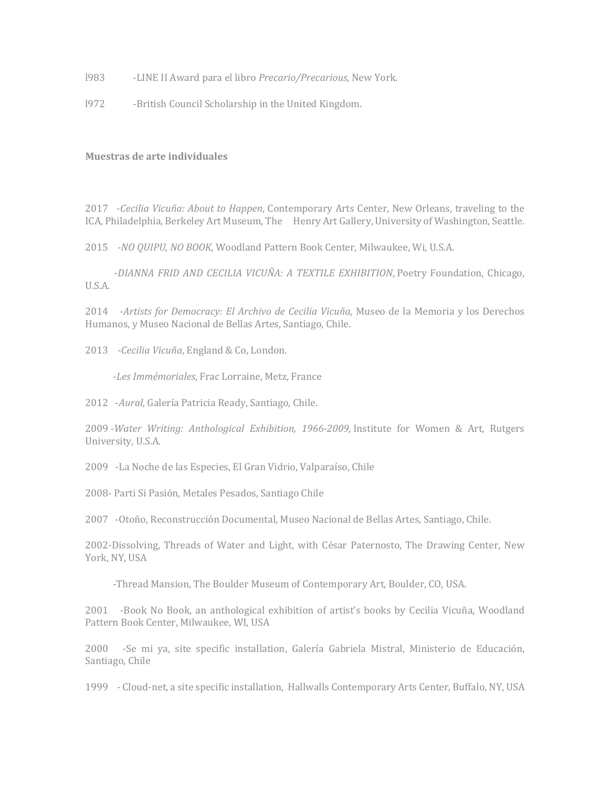l983 -LINE II Award para el libro *Precario/Precarious*, New York.

1972 -British Council Scholarship in the United Kingdom.

## **Muestras de arte individuales**

2017 -*Cecilia Vicuña: About to Happen*, Contemporary Arts Center, New Orleans, traveling to the ICA, Philadelphia, Berkeley Art Museum, The Henry Art Gallery, University of Washington, Seattle.

2015 -*NO QUIPU, NO BOOK*, Woodland Pattern Book Center, Milwaukee, Wi, U.S.A.

-DIANNA FRID AND CECILIA VICUÑA: A TEXTILE EXHIBITION, Poetry Foundation, Chicago, U.S.A.

2014 *-Artists for Democracy: El Archivo de Cecilia Vicuña*, Museo de la Memoria y los Derechos Humanos, y Museo Nacional de Bellas Artes, Santiago, Chile.

2013 -*Cecilia Vicuña*, England & Co, London.

 -*Les Immémoriales*, Frac Lorraine, Metz, France

2012 -*Aural*, Galería Patricia Ready, Santiago, Chile.

2009 *-Water Writing: Anthological Exhibition, 1966-2009*, Institute for Women & Art, Rutgers University, U.S.A.

2009 -La Noche de las Especies, El Gran Vidrio, Valparaíso, Chile

2008- Parti Si Pasión, Metales Pesados, Santiago Chile

2007 -Otoño, Reconstrucción Documental, Museo Nacional de Bellas Artes, Santiago, Chile.

2002-Dissolving, Threads of Water and Light, with César Paternosto, The Drawing Center, New York, NY, USA

-Thread Mansion, The Boulder Museum of Contemporary Art, Boulder, CO, USA.

2001 -Book No Book, an anthological exhibition of artist's books by Cecilia Vicuña, Woodland Pattern Book Center, Milwaukee, WI, USA

2000 -Se mi ya, site specific installation, Galería Gabriela Mistral, Ministerio de Educación, Santiago, Chile

1999 - Cloud-net, a site specific installation, Hallwalls Contemporary Arts Center, Buffalo, NY, USA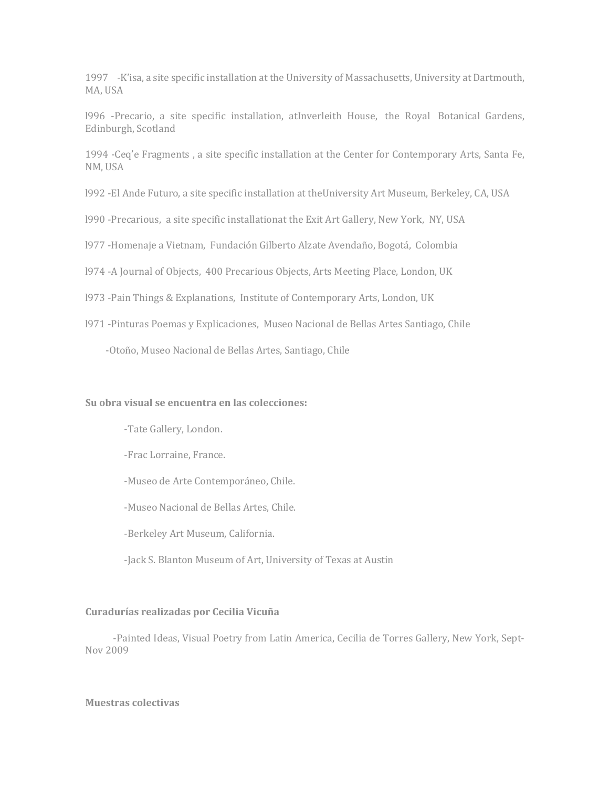1997 - K'isa, a site specific installation at the University of Massachusetts, University at Dartmouth, MA, USA

1996 -Precario, a site specific installation, atInverleith House, the Royal Botanical Gardens, Edinburgh, Scotland

1994 -Ceq'e Fragments, a site specific installation at the Center for Contemporary Arts, Santa Fe, NM, USA

1992 -El Ande Futuro, a site specific installation at theUniversity Art Museum, Berkeley, CA, USA

1990 -Precarious, a site specific installationat the Exit Art Gallery, New York, NY, USA

1977 - Homenaje a Vietnam, Fundación Gilberto Alzate Avendaño, Bogotá, Colombia

1974 -A Journal of Objects, 400 Precarious Objects, Arts Meeting Place, London, UK

1973 -Pain Things & Explanations, Institute of Contemporary Arts, London, UK

## 1971 -Pinturas Poemas y Explicaciones, Museo Nacional de Bellas Artes Santiago, Chile

-Otoño, Museo Nacional de Bellas Artes, Santiago, Chile

## Su obra visual se encuentra en las colecciones:

-Tate Gallery, London.

-Frac Lorraine, France.

-Museo de Arte Contemporáneo, Chile.

-Museo Nacional de Bellas Artes, Chile.

-Berkeley Art Museum, California.

 -Jack S. Blanton Museum of Art, University of Texas at Austin

#### **Curadurías realizadas por Cecilia Vicuña**

-Painted Ideas, Visual Poetry from Latin America, Cecilia de Torres Gallery, New York, Sept-Nov 2009

## **Muestras colectivas**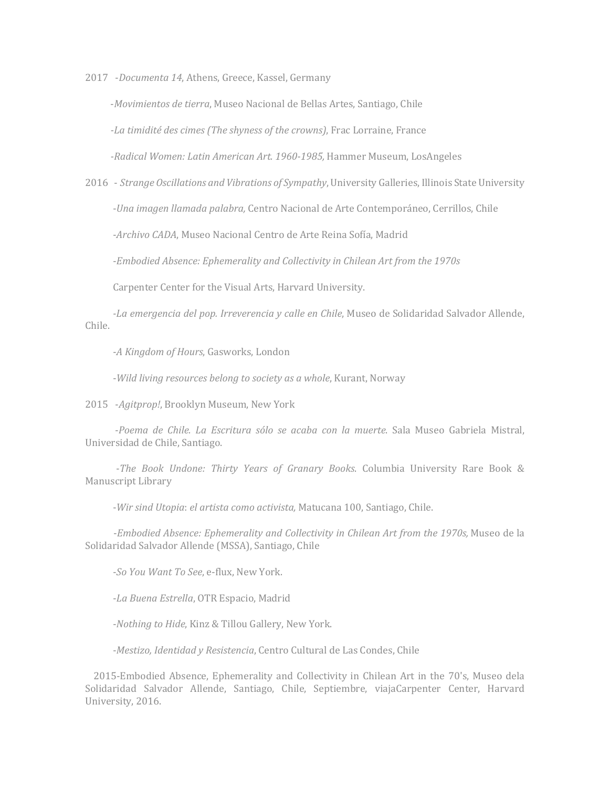2017 -*Documenta 14*, Athens, Greece, Kassel, Germany

-*Movimientos de tierra*, Museo Nacional de Bellas Artes, Santiago, Chile

*-La timidité des cimes (The shyness of the crowns)*, Frac Lorraine, France

 *-Radical Women: Latin American Art. 1960-1985,* Hammer Museum, LosAngeles

2016 *- Strange Oscillations and Vibrations of Sympathy*, University Galleries, Illinois State University

-*Una imagen llamada palabra*, Centro Nacional de Arte Contemporáneo, Cerrillos, Chile

-Archivo CADA, Museo Nacional Centro de Arte Reina Sofía, Madrid

-*Embodied Absence: Ephemerality and Collectivity in Chilean Art from the 1970s* 

Carpenter Center for the Visual Arts, Harvard University.

*-La emergencia del pop. Irreverencia y calle en Chile*, Museo de Solidaridad Salvador Allende, Chile.

 -*A Kingdom of Hours*, Gasworks, London

-*Wild living resources belong to society as a whole*, Kurant, Norway

2015 -*Agitprop!*, Brooklyn Museum, New York

 -*Poema de Chile. La Escritura sólo se acaba con la muerte*. Sala Museo Gabriela Mistral, Universidad de Chile, Santiago.

-*The Book Undone: Thirty Years of Granary Books*. Columbia University Rare Book & Manuscript Library

-*Wir sind Utopia: el artista como activista*, Matucana 100, Santiago, Chile.

-*Embodied Absence: Ephemerality and Collectivity in Chilean Art from the 1970s*, Museo de la Solidaridad Salvador Allende (MSSA), Santiago, Chile

 -*So You Want To See*, e-flux, New York.

 -*La Buena Estrella*, OTR Espacio, Madrid

-*Nothing to Hide*, Kinz & Tillou Gallery, New York.

-*Mestizo, Identidad y Resistencia*, Centro Cultural de Las Condes, Chile

2015-Embodied Absence, Ephemerality and Collectivity in Chilean Art in the 70's, Museo dela Solidaridad Salvador Allende, Santiago, Chile, Septiembre, viajaCarpenter Center, Harvard University, 2016.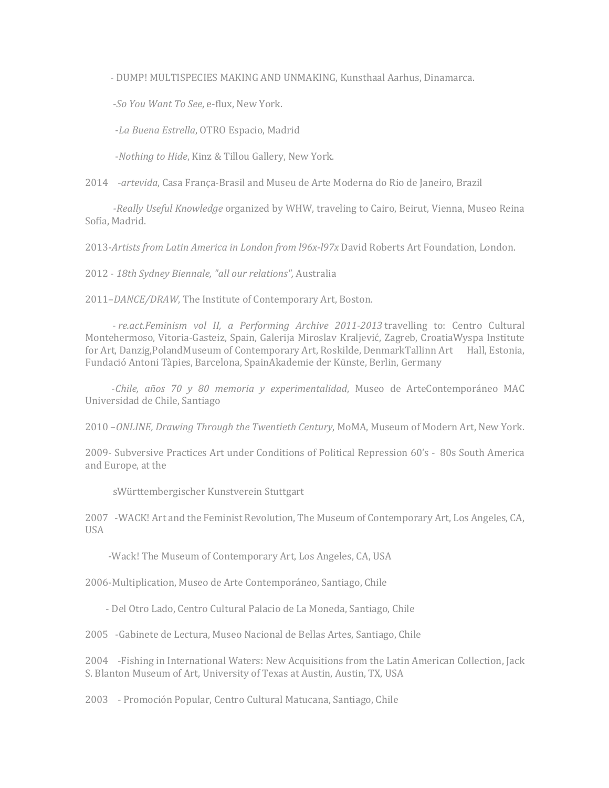- DUMP! MULTISPECIES MAKING AND UNMAKING, Kunsthaal Aarhus, Dinamarca.

 -*So You Want To See*, e-flux, New York.

 -*La Buena Estrella*, OTRO Espacio, Madrid

-*Nothing to Hide*, Kinz & Tillou Gallery, New York.

2014 -*artevida*, Casa França-Brasil and Museu de Arte Moderna do Rio de Janeiro, Brazil

-Really Useful Knowledge organized by WHW, traveling to Cairo, Beirut, Vienna, Museo Reina Sofía, Madrid.

2013-Artists from Latin America in London from  $196x$ -197x David Roberts Art Foundation, London.

2012 - 18th Sydney Biennale, "all our relations", Australia

2011–*DANCE/DRAW*, The Institute of Contemporary Art, Boston.

- re.act.Feminism vol II, a Performing Archive 2011-2013 travelling to: Centro Cultural Montehermoso, Vitoria-Gasteiz, Spain, Galerija Miroslav Kraljević, Zagreb, CroatiaWyspa Institute for Art, Danzig,PolandMuseum of Contemporary Art, Roskilde, DenmarkTallinn Art Hall, Estonia, Fundació Antoni Tàpies, Barcelona, SpainAkademie der Künste, Berlin, Germany

 -*Chile, años 70 y 80 memoria y experimentalidad*, Museo de ArteContemporáneo MAC Universidad de Chile, Santiago

2010 -ONLINE, Drawing Through the Twentieth Century, MoMA, Museum of Modern Art, New York.

2009- Subversive Practices Art under Conditions of Political Repression 60's - 80s South America and Europe, at the

sWürttembergischer Kunstverein Stuttgart

2007 -WACK! Art and the Feminist Revolution, The Museum of Contemporary Art, Los Angeles, CA, USA

-Wack! The Museum of Contemporary Art, Los Angeles, CA, USA

2006-Multiplication, Museo de Arte Contemporáneo, Santiago, Chile

- Del Otro Lado, Centro Cultural Palacio de La Moneda, Santiago, Chile

2005 -Gabinete de Lectura, Museo Nacional de Bellas Artes, Santiago, Chile

2004 - Fishing in International Waters: New Acquisitions from the Latin American Collection, Jack S. Blanton Museum of Art, University of Texas at Austin, Austin, TX, USA

2003 - Promoción Popular, Centro Cultural Matucana, Santiago, Chile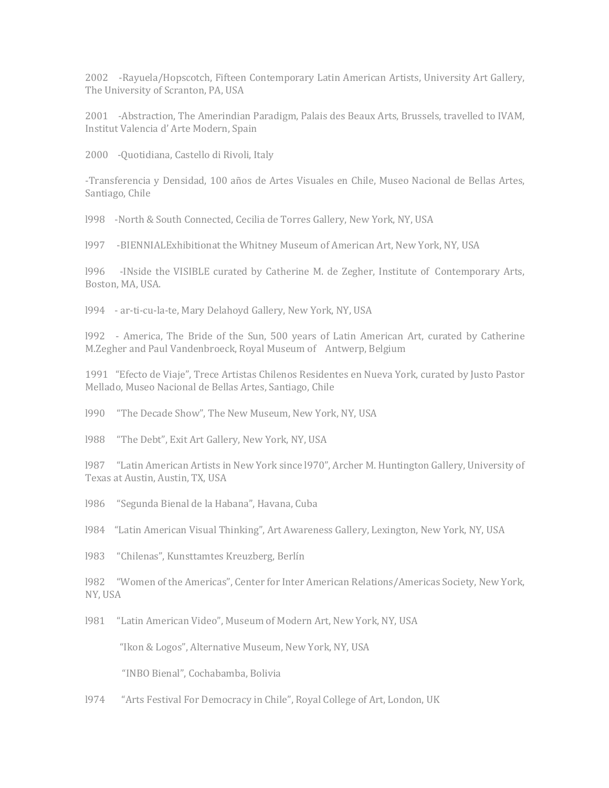2002 - Rayuela/Hopscotch, Fifteen Contemporary Latin American Artists, University Art Gallery, The University of Scranton, PA, USA

2001 - Abstraction, The Amerindian Paradigm, Palais des Beaux Arts, Brussels, travelled to IVAM, Institut Valencia d'Arte Modern, Spain

2000 - Ouotidiana, Castello di Rivoli, Italy

-Transferencia y Densidad, 100 años de Artes Visuales en Chile, Museo Nacional de Bellas Artes, Santiago, Chile

1998 -North & South Connected, Cecilia de Torres Gallery, New York, NY, USA

1997 -BIENNIALExhibitionat the Whitney Museum of American Art, New York, NY, USA

1996 -INside the VISIBLE curated by Catherine M. de Zegher, Institute of Contemporary Arts, Boston, MA, USA.

1994 - ar-ti-cu-la-te, Mary Delahoyd Gallery, New York, NY, USA

1992 - America, The Bride of the Sun, 500 years of Latin American Art, curated by Catherine M.Zegher and Paul Vandenbroeck, Royal Museum of Antwerp, Belgium

1991 "Efecto de Viaje", Trece Artistas Chilenos Residentes en Nueva York, curated by Justo Pastor Mellado, Museo Nacional de Bellas Artes, Santiago, Chile

1990 "The Decade Show", The New Museum, New York, NY, USA

1988 "The Debt", Exit Art Gallery, New York, NY, USA

1987 "Latin American Artists in New York since 1970", Archer M. Huntington Gallery, University of Texas at Austin, Austin, TX, USA

1986 "Segunda Bienal de la Habana", Havana, Cuba

1984 "Latin American Visual Thinking", Art Awareness Gallery, Lexington, New York, NY, USA

1983 "Chilenas", Kunsttamtes Kreuzberg, Berlín

1982 "Women of the Americas", Center for Inter American Relations/Americas Society, New York, NY, USA

1981 "Latin American Video", Museum of Modern Art, New York, NY, USA

"Ikon & Logos", Alternative Museum, New York, NY, USA

"INBO Bienal", Cochabamba, Bolivia

1974 "Arts Festival For Democracy in Chile", Royal College of Art, London, UK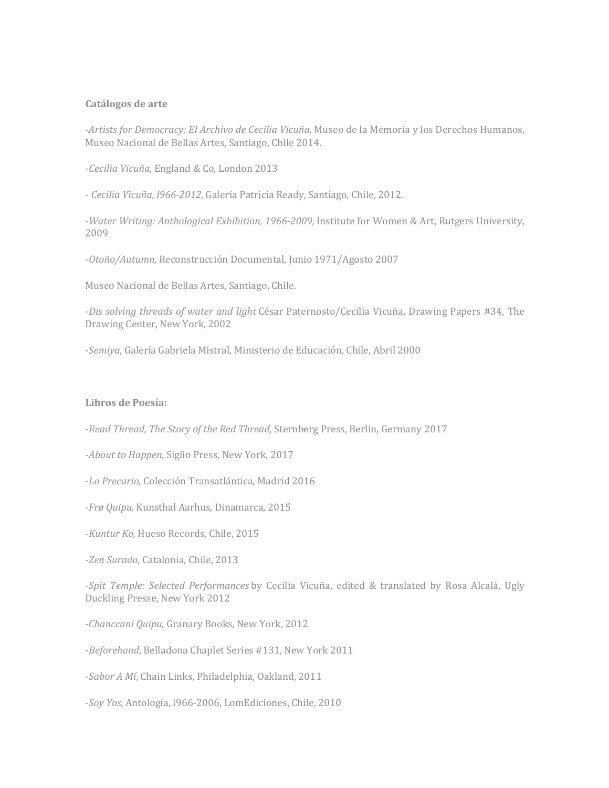## **Catálogos** de arte

*-Artists for Democracy: El Archivo de Cecilia Vicuña*, Museo de la Memoria y los Derechos Humanos, Museo Nacional de Bellas Artes, Santiago, Chile 2014.

-*Cecilia Vicuña*, England & Co, London 2013

- *Cecilia Vicuña, 1966-2012, Galería Patricia Ready, Santiago, Chile, 2012.* 

-*Water Writing: Anthological Exhibition, 1966-2009,* Institute for Women & Art, Rutgers University, 2009

-*Otoño/Autumn,* Reconstrucción Documental, Junio 1971/Agosto 2007

Museo Nacional de Bellas Artes, Santiago, Chile.

-*Dis solving threads of water and light* César Paternosto/Cecilia Vicuña, Drawing Papers #34, The Drawing Center, New York, 2002

-Semiya, Galería Gabriela Mistral, Ministerio de Educación, Chile, Abril 2000

## **Libros de Poesía:**

-*Read Thread, The Story of the Red Thread*, Sternberg Press, Berlin, Germany 2017

-*About to Happen*, Siglio Press, New York, 2017

-*Lo Precario*, Colección Transatlántica, Madrid 2016

*-Frø Quipu,* Kunsthal Aarhus, Dinamarca, 2015

-*Kuntur Ko*, Hueso Records, Chile, 2015

-Zen Surado, Catalonia, Chile, 2013

-*Spit Temple: Selected Performances* by Cecilia Vicuña, edited & translated by Rosa Alcalá, Ugly Duckling Presse, New York 2012

*-Chanccani Quipu,* Granary Books, New York, 2012

-*Beforehand*, Belladona Chaplet Series #131, New York 2011

-*Sabor A Mí*, Chain Links, Philadelphia, Oakland, 2011

-*Soy Yos*, Antología, 1966-2006, LomEdiciones, Chile, 2010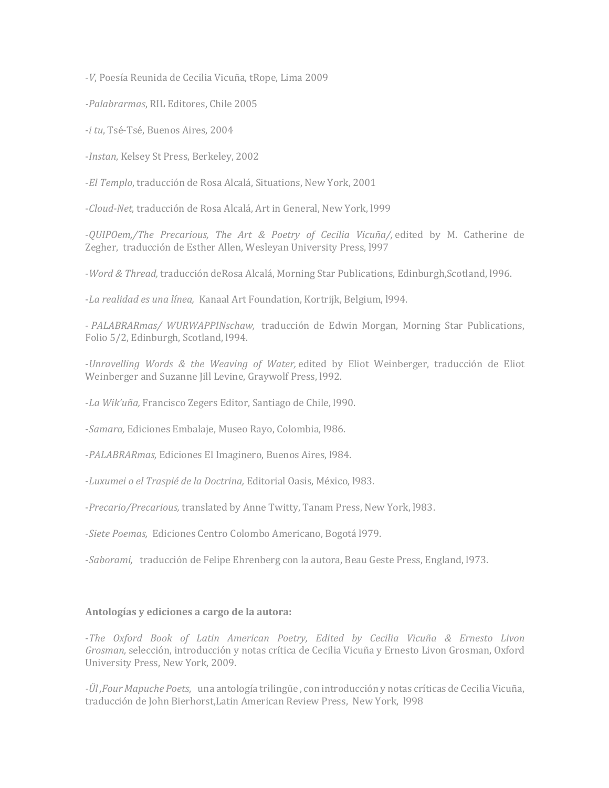-*V*, Poesía Reunida de Cecilia Vicuña, tRope, Lima 2009

*-Palabrarmas*, RIL Editores, Chile 2005

-*i* tu, Tsé-Tsé, Buenos Aires, 2004

-*Instan*, Kelsey St Press, Berkeley, 2002

-*El Templo*, traducción de Rosa Alcalá, Situations, New York, 2001

-*Cloud-Net*, traducción de Rosa Alcalá, Art in General, New York, 1999

-*QUIPOem,/The Precarious, The Art & Poetry of Cecilia Vicuña/,* edited by M. Catherine de Zegher, traducción de Esther Allen, Wesleyan University Press, 1997

-*Word & Thread,* traducción deRosa Alcalá, Morning Star Publications, Edinburgh,Scotland, l996.

-*La realidad es una línea, Kanaal Art Foundation, Kortrijk, Belgium, 1994.* 

- *PALABRARmas/ WURWAPPINschaw*, traducción de Edwin Morgan, Morning Star Publications, Folio 5/2, Edinburgh, Scotland, 1994.

-*Unravelling Words & the Weaving of Water,* edited by Eliot Weinberger, traducción de Eliot Weinberger and Suzanne Jill Levine, Graywolf Press, 1992.

-*La Wik'uña,* Francisco Zegers Editor, Santiago de Chile, l990.

-*Samara*, Ediciones Embalaje, Museo Rayo, Colombia, 1986.

-*PALABRARmas*, Ediciones El Imaginero, Buenos Aires, 1984.

-Luxumei o el Traspié de la Doctrina, Editorial Oasis, México, 1983.

-*Precario/Precarious,* translated by Anne Twitty, Tanam Press, New York, l983.

-*Siete Poemas,* Ediciones Centro Colombo Americano, Bogotá 1979.

-*Saborami*, traducción de Felipe Ehrenberg con la autora, Beau Geste Press, England, 1973.

## Antologías y ediciones a cargo de la autora:

-The Oxford Book of Latin American Poetry, Edited by Cecilia Vicuña & Ernesto Livon Grosman, selección, introducción y notas crítica de Cecilia Vicuña y Ernesto Livon Grosman, Oxford University Press, New York, 2009.

*-Ül ,Four Mapuche Poets*, una antología trilingüe , con introducción y notas críticas de Cecilia Vicuña, traducción de John Bierhorst, Latin American Review Press, New York, 1998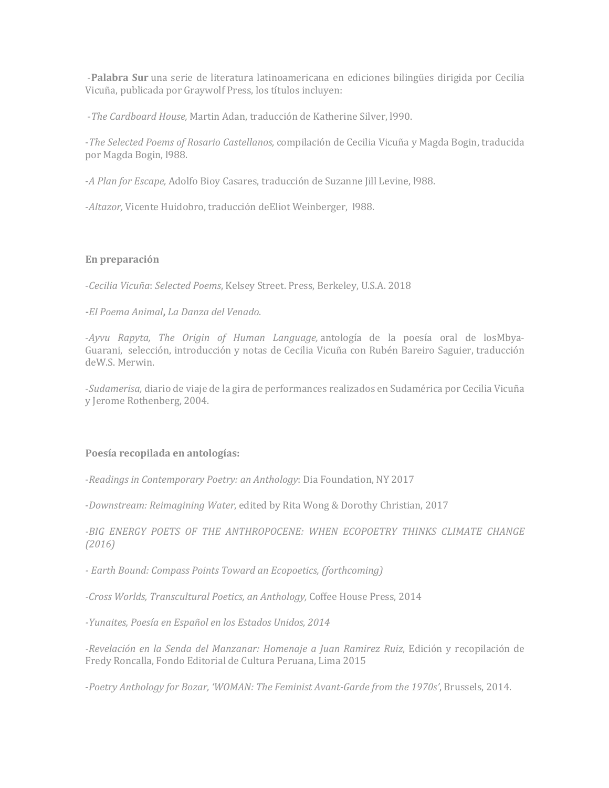-**Palabra Sur** una serie de literatura latinoamericana en ediciones bilingües dirigida por Cecilia Vicuña, publicada por Graywolf Press, los títulos incluyen:

-The Cardboard House, Martin Adan, traducción de Katherine Silver, 1990.

-*The Selected Poems of Rosario Castellanos,* compilación de Cecilia Vicuña y Magda Bogin, traducida por Magda Bogin, 1988.

-*A Plan for Escape, Adolfo Bioy Casares, traducción de Suzanne Jill Levine, 1988.* 

-*Altazor*, Vicente Huidobro, traducción deEliot Weinberger, 1988.

## **En preparación**

-*Cecilia Vicuña*: *Selected Poems*, Kelsey Street. Press, Berkeley, U.S.A. 2018

**-***El Poema Animal***,** *La Danza del Venado*.

-*Ayvu Rapyta, The Origin of Human Language*, antología de la poesía oral de losMbya-Guarani, selección, introducción y notas de Cecilia Vicuña con Rubén Bareiro Saguier, traducción deW.S. Merwin.

-*Sudamerisa*, diario de viaje de la gira de performances realizados en Sudamérica por Cecilia Vicuña y Jerome Rothenberg, 2004.

## **Poesía recopilada en antologías:**

-*Readings in Contemporary Poetry: an Anthology*: Dia Foundation, NY 2017

-*Downstream: Reimagining Water*, edited by Rita Wong & Dorothy Christian, 2017

-BIG ENERGY POETS OF THE ANTHROPOCENE: WHEN ECOPOETRY THINKS CLIMATE CHANGE *(2016)*

*- Earth Bound: Compass Points Toward an Ecopoetics, (forthcoming)*

*-Cross Worlds, Transcultural Poetics, an Anthology,* Coffee House Press, 2014

*-Yunaites, Poesía en Español en los Estados Unidos, 2014*

*-Revelación en la Senda del Manzanar: Homenaje a Juan Ramirez Ruiz*, Edición y recopilación de Fredy Roncalla, Fondo Editorial de Cultura Peruana, Lima 2015

-Poetry Anthology for Bozar, 'WOMAN: The Feminist Avant-Garde from the 1970s', Brussels, 2014.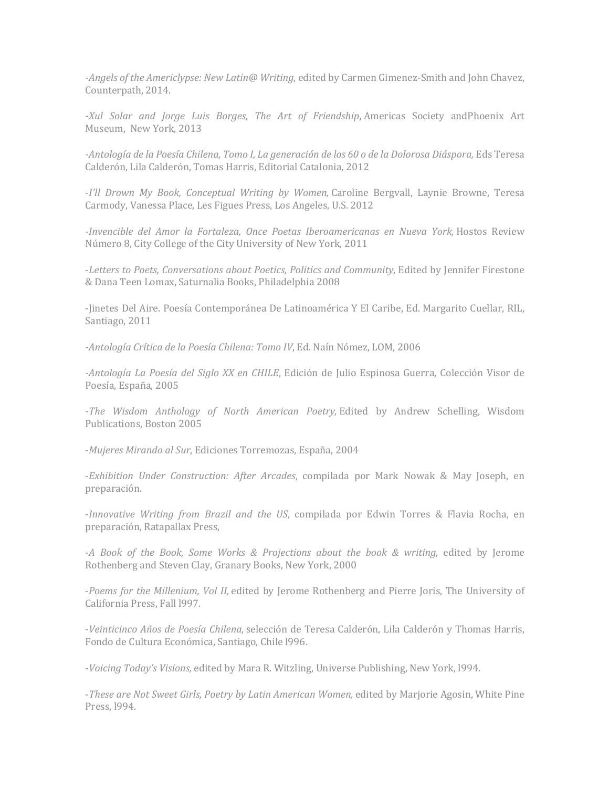-*Angels of the Americlypse: New Latin@ Writing*, edited by Carmen Gimenez-Smith and John Chavez, Counterpath, 2014.

**-***Xul Solar and Jorge Luis Borges, The Art of Friendship***,** Americas Society andPhoenix Art Museum, New York, 2013

*-Antología de la Poesía Chilena, Tomo I, La generación de los 60 o de la Dolorosa Diáspora,* Eds Teresa Calderón, Lila Calderón, Tomas Harris, Editorial Catalonia, 2012

-*I'll Drown My Book, Conceptual Writing by Women,* Caroline Bergvall, Laynie Browne, Teresa Carmody, Vanessa Place, Les Figues Press, Los Angeles, U.S. 2012

*-Invencible del Amor la Fortaleza, Once Poetas Iberoamericanas en Nueva York,* Hostos Review Número 8, City College of the City University of New York, 2011

-Letters to Poets, Conversations about Poetics, Politics and Community, Edited by Jennifer Firestone & Dana Teen Lomax, Saturnalia Books, Philadelphia 2008

-Jinetes Del Aire. Poesía Contemporánea De Latinoamérica Y El Caribe, Ed. Margarito Cuellar, RIL, Santiago, 2011

*-Antología Crítica de la Poesía Chilena: Tomo IV*, Ed. Naín Nómez, LOM, 2006

*-Antología La Poesía del Siglo XX en CHILE*, Edición de Julio Espinosa Guerra, Colección Visor de Poesía, España, 2005

*-The Wisdom Anthology of North American Poetry,* Edited by Andrew Schelling, Wisdom Publications, Boston 2005

-*Mujeres Mirando al Sur*, Ediciones Torremozas, España, 2004

-*Exhibition Under Construction: After Arcades*, compilada por Mark Nowak & May Joseph, en preparación.

*-Innovative Writing from Brazil and the US*, compilada por Edwin Torres & Flavia Rocha, en preparación, Ratapallax Press,

-*A* Book of the Book, Some Works & Projections about the book & writing, edited by Jerome Rothenberg and Steven Clay, Granary Books, New York, 2000

-Poems for the Millenium, Vol II, edited by Jerome Rothenberg and Pierre Joris, The University of California Press, Fall 1997.

-Veinticinco Años de Poesía Chilena, selección de Teresa Calderón, Lila Calderón y Thomas Harris, Fondo de Cultura Económica, Santiago, Chile 1996.

-Voicing Today's Visions, edited by Mara R. Witzling, Universe Publishing, New York, 1994.

-*These are Not Sweet Girls, Poetry by Latin American Women, edited by Marjorie Agosin, White Pine* Press, 1994.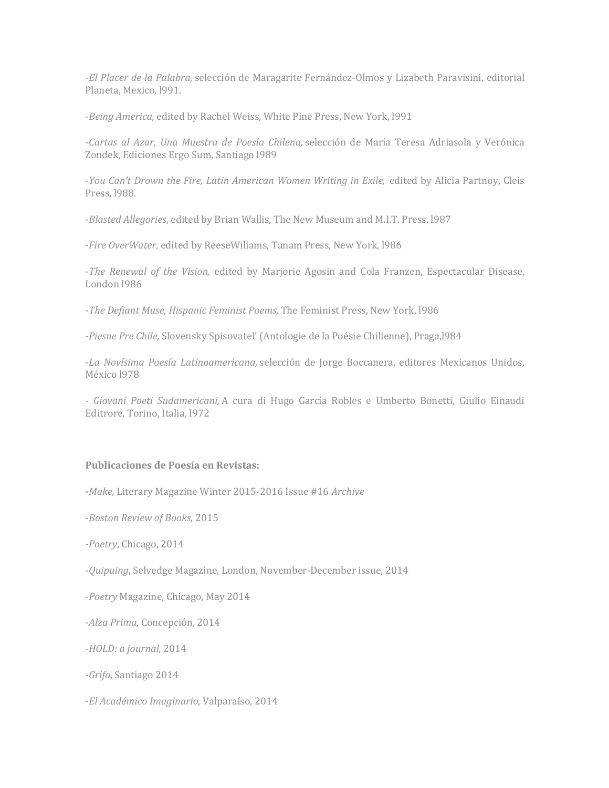-*El Placer de la Palabra,* selección de Maragarite Fernández-Olmos y Lizabeth Paravisini, editorial Planeta, Mexico, 1991.

-*Being America,* edited by Rachel Weiss, White Pine Press, New York, 1991

-Cartas al Azar, Una Muestra de Poesía Chilena, selección de María Teresa Adriasola y Verónica Zondek, Ediciones Ergo Sum, Santiago 1989

-*You Can't Drown the Fire, Latin American Women Writing in Exile, edited by Alicia Partnoy, Cleis* Press, 1988.

-*Blasted Allegories*, edited by Brian Wallis, The New Museum and M.I.T. Press, 1987

-*Fire OverWater*, edited by ReeseWiliams, Tanam Press, New York, 1986

-*The Renewal of the Vision,* edited by Marjorie Agosin and Cola Franzen, Espectacular Disease, London 1986

*-The Defiant Muse, Hispanic Feminist Poems, The Feminist Press, New York, 1986* 

-*Piesne Pre Chile,* Slovensky Spisovatel' (Antologie de la Poésie Chilienne), Praga, 1984

-*La Novísima Poesía Latinoamericana,* selección de Jorge Boccanera, editores Mexicanos Unidos, México l978

*- Giovani Poeti Sudamericani,* A cura di Hugo García Robles e Umberto Bonetti, Giulio Einaudi Editrore, Torino, Italia, 1972

## **Publicaciones de Poesía en Revistas:**

*-Make,* Literary Magazine Winter 2015-2016 Issue #16 *Archive*

-*Boston Review of Books*, 2015

*-Poetry*, Chicago, 2014

-*Quipuing*, Selvedge Magazine, London, November-December issue, 2014

-*Poetry* Magazine, Chicago, May 2014

-*Alza Prima,* Concepción, 2014

-*HOLD: a journal*, 2014

-*Grifo*, Santiago 2014

-*El Académico Imaginario*, Valparaíso, 2014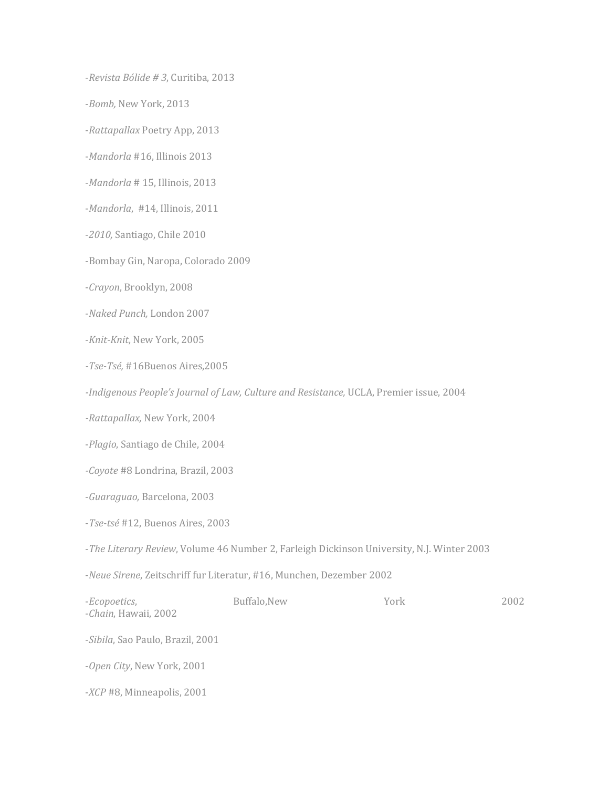-*Revista Bólide # 3*, Curitiba, 2013

-*Bomb*, New York, 2013

-*Rattapallax* Poetry App, 2013

-*Mandorla* #16, Illinois 2013

*-Mandorla* # 15, Illinois, 2013

-*Mandorla*, #14, Illinois, 2011

-2010, Santiago, Chile 2010

-Bombay Gin, Naropa, Colorado 2009

-*Crayon*, Brooklyn, 2008

-*Naked Punch,* London 2007

-*Knit-Knit*, New York, 2005

*-Tse-Tsé,* #16Buenos Aires,2005

*-Indigenous People's Journal of Law, Culture and Resistance,* UCLA, Premier issue, 2004

-Rattapallax, New York, 2004

-*Plagio*, Santiago de Chile, 2004

*-Coyote* #8 Londrina, Brazil, 2003

-*Guaraguao,* Barcelona, 2003

-*Tse-tsé* #12, Buenos Aires, 2003

-*The Literary Review*, Volume 46 Number 2, Farleigh Dickinson University, N.J. Winter 2003

-*Neue Sirene*, Zeitschriff fur Literatur, #16, Munchen, Dezember 2002

| - <i>Ecopoetics</i> ,<br>-Chain, Hawaii, 2002 | Buffalo, New | York | 2002 |
|-----------------------------------------------|--------------|------|------|
| -Sibila, Sao Paulo, Brazil, 2001              |              |      |      |
| -Open City, New York, 2001                    |              |      |      |
| -XCP #8, Minneapolis, 2001                    |              |      |      |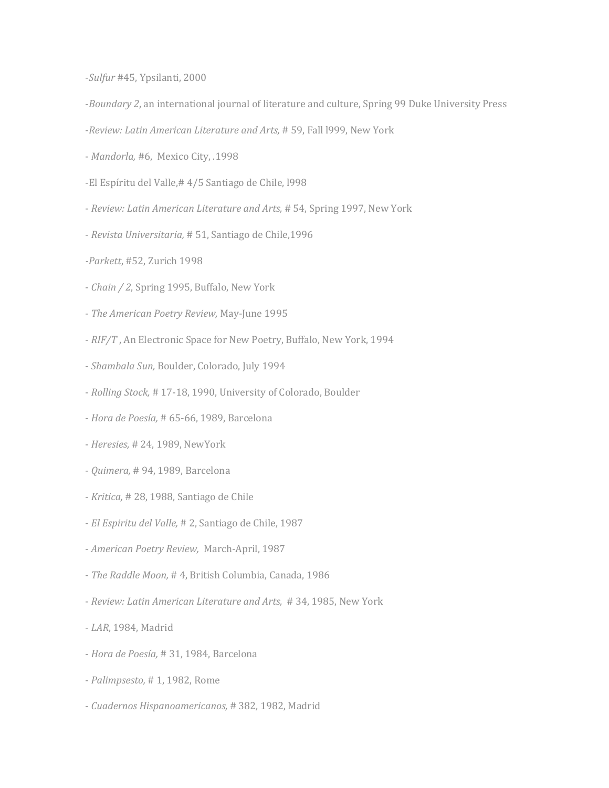-*Sulfur* #45, Ypsilanti, 2000

- -*Boundary 2*, an international journal of literature and culture, Spring 99 Duke University Press
- -*Review: Latin American Literature and Arts,* # 59, Fall 1999, New York
- *Mandorla*, #6, Mexico City, .1998
- -El Espíritu del Valle,# 4/5 Santiago de Chile, l998
- *Review: Latin American Literature and Arts*, # 54, Spring 1997, New York
- *Revista Universitaria,* # 51, Santiago de Chile,1996
- *-Parkett*, #52, Zurich 1998
- *Chain* / 2, Spring 1995, Buffalo, New York
- *The American Poetry Review,* May-June 1995
- *RIF/T*, An Electronic Space for New Poetry, Buffalo, New York, 1994
- *Shambala Sun, Boulder, Colorado, July 1994*
- *Rolling Stock,* #17-18, 1990, University of Colorado, Boulder
- *Hora de Poesía,* # 65-66, 1989, Barcelona
- *Heresies,* # 24, 1989, NewYork
- *Quimera,* # 94, 1989, Barcelona
- *Kritica,* # 28, 1988, Santiago de Chile
- *El Espiritu del Valle,* # 2, Santiago de Chile, 1987
- *American Poetry Review,* March-April, 1987
- *The Raddle Moon,* # 4, British Columbia, Canada, 1986
- *Review: Latin American Literature and Arts,* # 34, 1985, New York
- *LAR*, 1984, Madrid
- *Hora de Poesía,* # 31, 1984, Barcelona
- *Palimpsesto,* # 1, 1982, Rome
- *Cuadernos Hispanoamericanos,* # 382, 1982, Madrid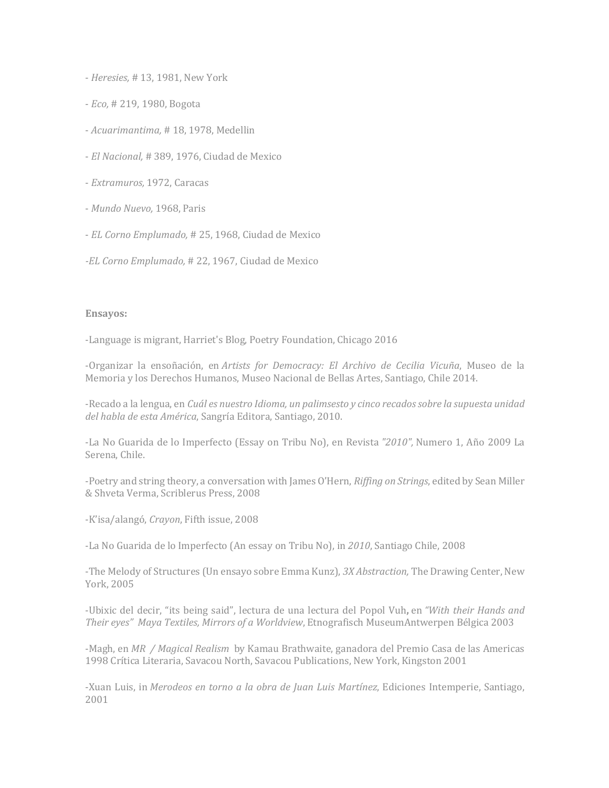- *Heresies*, # 13, 1981, New York
- *Eco,* # 219, 1980, Bogota
- Acuarimantima, # 18, 1978, Medellin
- *El Nacional,* # 389, 1976, Ciudad de Mexico
- *Extramuros,* 1972, Caracas
- *Mundo Nuevo,* 1968, Paris
- *EL Corno Emplumado,* # 25, 1968, Ciudad de Mexico
- *-EL Corno Emplumado,* # 22, 1967, Ciudad de Mexico

#### **Ensayos:**

-Language is migrant, Harriet's Blog, Poetry Foundation, Chicago 2016

-Organizar la ensoñación, en *Artists for Democracy: El Archivo de Cecilia Vicuña*, Museo de la Memoria y los Derechos Humanos, Museo Nacional de Bellas Artes, Santiago, Chile 2014.

-Recado a la lengua, en *Cuál es nuestro Idioma, un palimsesto y cinco recados sobre la supuesta unidad del habla de esta América*, Sangría Editora, Santiago, 2010.

-La No Guarida de lo Imperfecto (Essay on Tribu No), en Revista "2010", Numero 1, Año 2009 La Serena, Chile.

-Poetry and string theory, a conversation with James O'Hern, *Riffing on Strings*, edited by Sean Miller & Shveta Verma, Scriblerus Press, 2008

-K'isa/alangó, *Crayon*, Fifth issue, 2008

-La No Guarida de lo Imperfecto (An essay on Tribu No), in 2010, Santiago Chile, 2008

-The Melody of Structures (Un ensayo sobre Emma Kunz), *3X Abstraction*, The Drawing Center, New York, 2005

-Ubixic del decir, "its being said", lectura de una lectura del Popol Vuh, en "With their Hands and *Their eyes" Maya Textiles, Mirrors of a Worldview*, Etnografisch MuseumAntwerpen Bélgica 2003

-Magh, en *MR / Magical Realism* by Kamau Brathwaite, ganadora del Premio Casa de las Americas 1998 Crítica Literaria, Savacou North, Savacou Publications, New York, Kingston 2001

-Xuan Luis, in *Merodeos en torno a la obra de Juan Luis Martínez*, Ediciones Intemperie, Santiago, 2001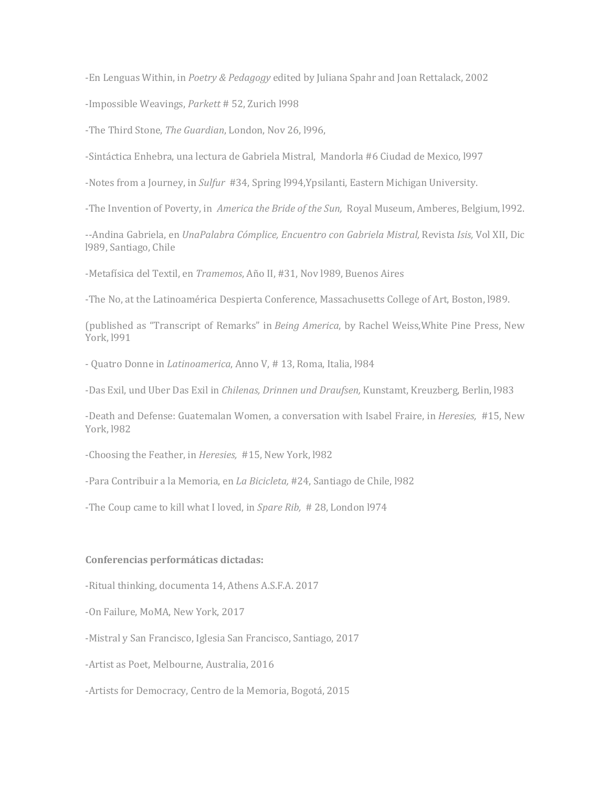-En Lenguas Within, in *Poetry & Pedagogy* edited by Juliana Spahr and Joan Rettalack, 2002

-Impossible Weavings, *Parkett* # 52, Zurich 1998

-The Third Stone, *The Guardian*, London, Nov 26, 1996,

-Sintáctica Enhebra, una lectura de Gabriela Mistral, Mandorla #6 Ciudad de Mexico, l997

-Notes from a Journey, in *Sulfur* #34, Spring 1994,Ypsilanti, Eastern Michigan University.

-The Invention of Poverty, in *America the Bride of the Sun*, Royal Museum, Amberes, Belgium, 1992.

--Andina Gabriela, en *UnaPalabra Cómplice, Encuentro con Gabriela Mistral,* Revista *Isis,* Vol XII, Dic 1989, Santiago, Chile

-Metafísica del Textil, en *Tramemos*, Año II, #31, Nov l989, Buenos Aires

-The No, at the Latinoamérica Despierta Conference, Massachusetts College of Art, Boston, 1989.

(published as "Transcript of Remarks" in *Being America*, by Rachel Weiss, White Pine Press, New York, 1991

- Quatro Donne in *Latinoamerica*, Anno V, # 13, Roma, Italia, 1984

-Das Exil, und Uber Das Exil in *Chilenas, Drinnen und Draufsen,* Kunstamt, Kreuzberg, Berlin, 1983

-Death and Defense: Guatemalan Women, a conversation with Isabel Fraire, in *Heresies*, #15, New York, 1982

-Choosing the Feather, in *Heresies*, #15, New York, 1982

-Para Contribuir a la Memoria, en *La Bicicleta*, #24, Santiago de Chile, 1982

-The Coup came to kill what I loved, in *Spare Rib*, # 28, London 1974

## **Conferencias performáticas dictadas:**

-Ritual thinking, documenta 14, Athens A.S.F.A. 2017

-On Failure, MoMA, New York, 2017

-Mistral y San Francisco, Iglesia San Francisco, Santiago, 2017

-Artist as Poet, Melbourne, Australia, 2016

-Artists for Democracy, Centro de la Memoria, Bogotá, 2015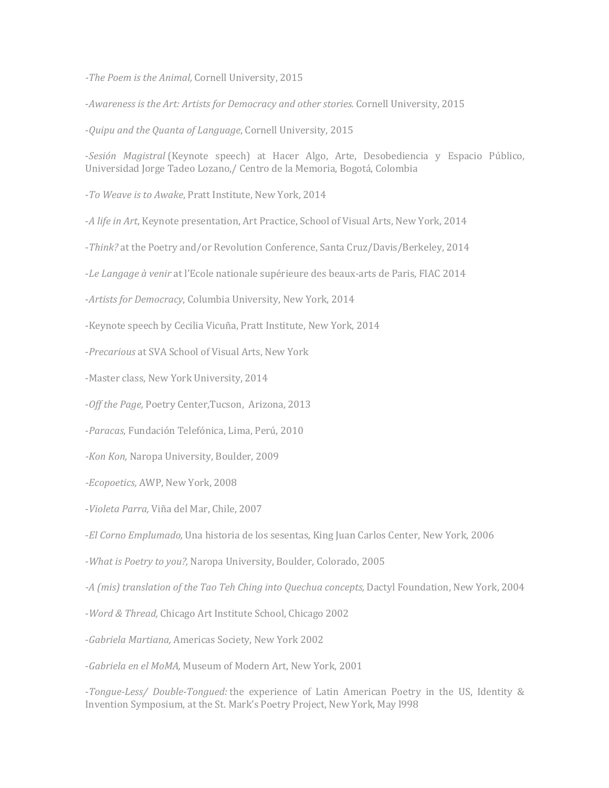*-The Poem is the Animal, Cornell University, 2015* 

-Awareness is the Art: Artists for Democracy and other stories. Cornell University, 2015

-*Quipu and the Quanta of Language*, Cornell University, 2015

-Sesión Magistral (Keynote speech) at Hacer Algo, Arte, Desobediencia y Espacio Público, Universidad Jorge Tadeo Lozano,/ Centro de la Memoria, Bogotá, Colombia

-*To Weave is to Awake*, Pratt Institute, New York, 2014

- -*A* life in Art, Keynote presentation, Art Practice, School of Visual Arts, New York, 2014
- -*Think?* at the Poetry and/or Revolution Conference, Santa Cruz/Davis/Berkeley, 2014

*-Le Langage à venir* at l'Ecole nationale supérieure des beaux-arts de Paris, FIAC 2014

-*Artists for Democracy*, Columbia University, New York, 2014

-Keynote speech by Cecilia Vicuña, Pratt Institute, New York, 2014

-*Precarious* at SVA School of Visual Arts, New York

-Master class, New York University, 2014

-*Off the Page*, Poetry Center, Tucson, Arizona, 2013

-*Paracas*, Fundación Telefónica, Lima, Perú, 2010

*-Kon Kon, Naropa University, Boulder, 2009* 

*-Ecopoetics,* AWP, New York, 2008

-*Violeta Parra,* Viña del Mar, Chile, 2007

-*El Corno Emplumado*, Una historia de los sesentas, King Juan Carlos Center, New York, 2006

-*What is Poetry to you?*, Naropa University, Boulder, Colorado, 2005

*-A* (mis) translation of the Tao Teh Ching into Quechua concepts, Dactyl Foundation, New York, 2004

-*Word & Thread,* Chicago Art Institute School, Chicago 2002

-*Gabriela Martiana,* Americas Society, New York 2002

-*Gabriela en el MoMA*, Museum of Modern Art, New York, 2001

-*Tongue-Less/* Double-Tongued: the experience of Latin American Poetry in the US, Identity & Invention Symposium, at the St. Mark's Poetry Project, New York, May 1998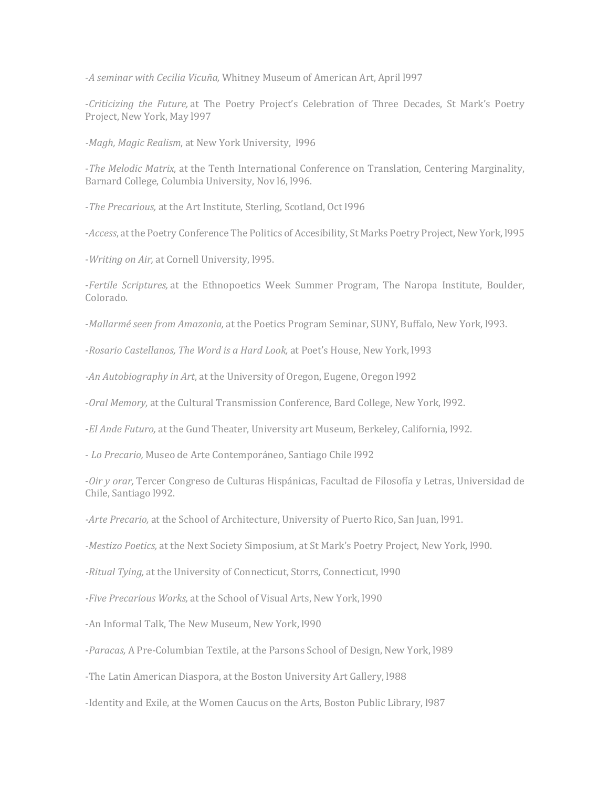-*A seminar with Cecilia Vicuña*, Whitney Museum of American Art, April 1997

-*Criticizing the Future,* at The Poetry Project's Celebration of Three Decades, St Mark's Poetry Project, New York, May 1997

-Magh, Magic Realism, at New York University, 1996

-*The Melodic Matrix*, at the Tenth International Conference on Translation, Centering Marginality, Barnard College, Columbia University, Nov 16, 1996.

-*The Precarious*, at the Art Institute, Sterling, Scotland, Oct 1996

-*Access*, at the Poetry Conference The Politics of Accesibility, St Marks Poetry Project, New York, 1995

-*Writing on Air, at Cornell University*, 1995.

*-Fertile Scriptures*, at the Ethnopoetics Week Summer Program, The Naropa Institute, Boulder, Colorado.

-*Mallarmé seen from Amazonia*, at the Poetics Program Seminar, SUNY, Buffalo, New York, 1993.

-*Rosario Castellanos, The Word is a Hard Look, at Poet's House, New York, 1993* 

*-An Autobiography in Art*, at the University of Oregon, Eugene, Oregon 1992

-*Oral Memory*, at the Cultural Transmission Conference, Bard College, New York, 1992.

-*El Ande Futuro*, at the Gund Theater, University art Museum, Berkeley, California, 1992.

- *Lo Precario,* Museo de Arte Contemporáneo, Santiago Chile l992

-*Oir y orar*, Tercer Congreso de Culturas Hispánicas, Facultad de Filosofía y Letras, Universidad de Chile, Santiago 1992.

*-Arte Precario*, at the School of Architecture, University of Puerto Rico, San Juan, 1991.

-Mestizo Poetics, at the Next Society Simposium, at St Mark's Poetry Project, New York, 1990.

*-Ritual Tying,* at the University of Connecticut, Storrs, Connecticut, 1990

*-Five Precarious Works, at the School of Visual Arts, New York, 1990* 

-An Informal Talk, The New Museum, New York, 1990

-*Paracas*, A Pre-Columbian Textile, at the Parsons School of Design, New York, 1989

-The Latin American Diaspora, at the Boston University Art Gallery, 1988

-Identity and Exile, at the Women Caucus on the Arts, Boston Public Library, 1987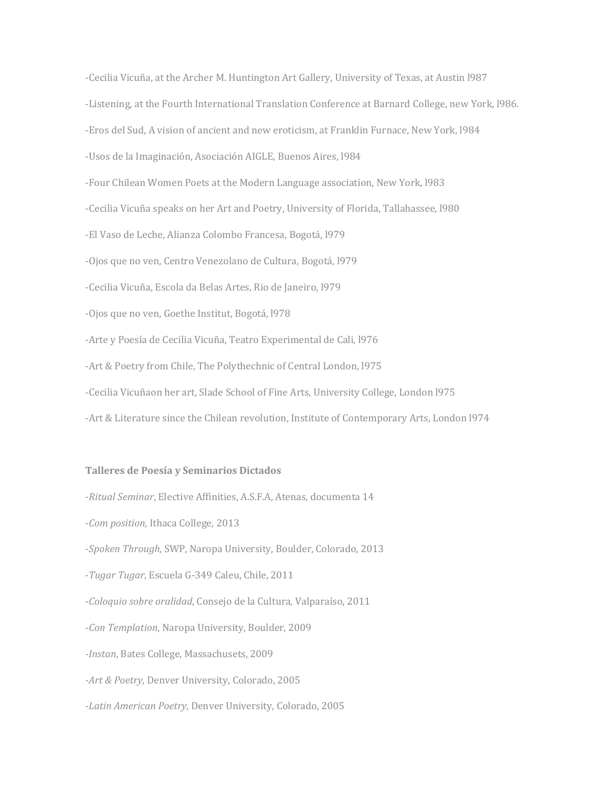-Cecilia Vicuña, at the Archer M. Huntington Art Gallery, University of Texas, at Austin 1987 -Listening, at the Fourth International Translation Conference at Barnard College, new York, 1986. -Eros del Sud, A vision of ancient and new eroticism, at Franklin Furnace, New York, 1984 -Usos de la Imaginación, Asociación AIGLE, Buenos Aires, 1984 -Four Chilean Women Poets at the Modern Language association, New York, 1983 -Cecilia Vicuña speaks on her Art and Poetry, University of Florida, Tallahassee, l980 -El Vaso de Leche, Alianza Colombo Francesa, Bogotá, 1979 -Ojos que no ven, Centro Venezolano de Cultura, Bogotá, 1979 -Cecilia Vicuña, Escola da Belas Artes, Rio de Janeiro, 1979 -Ojos que no ven, Goethe Institut, Bogotá, 1978 -Arte y Poesía de Cecilia Vicuña, Teatro Experimental de Cali, 1976 -Art & Poetry from Chile, The Polythechnic of Central London, 1975 -Cecilia Vicuñaon her art, Slade School of Fine Arts, University College, London l975 -Art & Literature since the Chilean revolution, Institute of Contemporary Arts, London 1974

# **Talleres de Poesía y Seminarios Dictados**

-*Ritual Seminar*, Elective Affinities, A.S.F.A, Atenas, documenta 14

-*Com position,* Ithaca College, 2013

-*Spoken Through*, SWP, Naropa University, Boulder, Colorado, 2013

-*Tugar Tugar*, Escuela G-349 Caleu, Chile, 2011

-Coloquio sobre oralidad, Consejo de la Cultura, Valparaíso, 2011

-*Con Templation*, Naropa University, Boulder, 2009

*-Instan*, Bates College, Massachusets, 2009

*-Art & Poetry*, Denver University, Colorado, 2005

*-Latin American Poetry*, Denver University, Colorado, 2005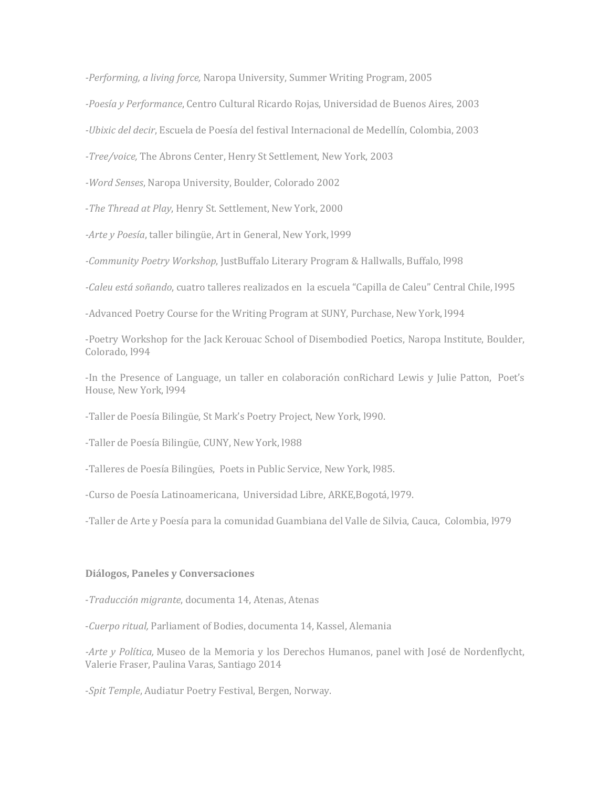*-Performing, a living force,* Naropa University, Summer Writing Program, 2005

*-Poesía y Performance*, Centro Cultural Ricardo Rojas, Universidad de Buenos Aires, 2003

*-Ubixic del decir*, Escuela de Poesía del festival Internacional de Medellín, Colombia, 2003

*-Tree/voice*, The Abrons Center, Henry St Settlement, New York, 2003

*-Word Senses*, Naropa University, Boulder, Colorado 2002

-*The Thread at Play*, Henry St. Settlement, New York, 2000

*-Arte y Poesía*, taller bilingüe, Art in General, New York, 1999

*-Community Poetry Workshop*, JustBuffalo Literary Program & Hallwalls, Buffalo, 1998

*-Caleu está soñando*, cuatro talleres realizados en la escuela "Capilla de Caleu" Central Chile, l995

-Advanced Poetry Course for the Writing Program at SUNY, Purchase, New York, 1994

-Poetry Workshop for the Jack Kerouac School of Disembodied Poetics, Naropa Institute, Boulder, Colorado, 1994

-In the Presence of Language, un taller en colaboración conRichard Lewis y Julie Patton, Poet's House, New York, 1994

-Taller de Poesía Bilingüe, St Mark's Poetry Project, New York, 1990.

-Taller de Poesía Bilingüe, CUNY, New York, 1988

-Talleres de Poesía Bilingües, Poets in Public Service, New York, 1985.

-Curso de Poesía Latinoamericana, Universidad Libre, ARKE, Bogotá, 1979.

-Taller de Arte y Poesía para la comunidad Guambiana del Valle de Silvia, Cauca, Colombia, 1979

#### **Diálogos, Paneles y Conversaciones**

-*Traducción migrante*, documenta 14, Atenas, Atenas

-*Cuerpo ritual*, Parliament of Bodies, documenta 14, Kassel, Alemania

*-Arte y Política*, Museo de la Memoria y los Derechos Humanos, panel with José de Nordenflycht, Valerie Fraser, Paulina Varas, Santiago 2014

-*Spit Temple*, Audiatur Poetry Festival, Bergen, Norway.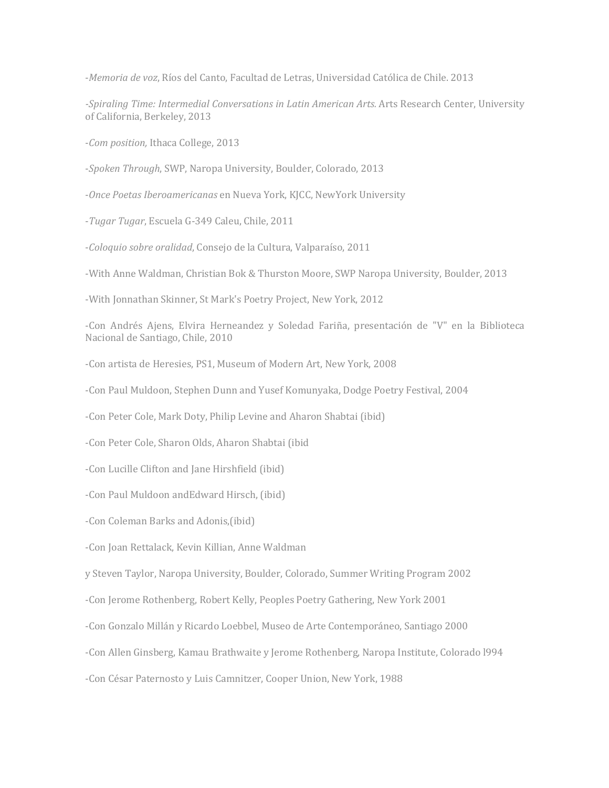-*Memoria de voz*, Ríos del Canto, Facultad de Letras, Universidad Católica de Chile. 2013

-Spiraling Time: Intermedial Conversations in Latin American Arts. Arts Research Center, University of California, Berkeley, 2013

-Com position, Ithaca College, 2013

-Spoken Through, SWP, Naropa University, Boulder, Colorado, 2013

-*Once Poetas Iberoamericanas* en Nueva York, KJCC, NewYork University

-*Tugar Tugar*, Escuela G-349 Caleu, Chile, 2011

-Coloquio sobre oralidad, Consejo de la Cultura, Valparaíso, 2011

-With Anne Waldman, Christian Bok & Thurston Moore, SWP Naropa University, Boulder, 2013

-With Jonnathan Skinner, St Mark's Poetry Project, New York, 2012

-Con Andrés Ajens, Elvira Herneandez y Soledad Fariña, presentación de "V" en la Biblioteca Nacional de Santiago, Chile, 2010

-Con artista de Heresies, PS1, Museum of Modern Art, New York, 2008

-Con Paul Muldoon, Stephen Dunn and Yusef Komunyaka, Dodge Poetry Festival, 2004

-Con Peter Cole, Mark Doty, Philip Levine and Aharon Shabtai (ibid)

-Con Peter Cole, Sharon Olds, Aharon Shabtai (ibid

-Con Lucille Clifton and Jane Hirshfield (ibid)

-Con Paul Muldoon andEdward Hirsch, (ibid)

-Con Coleman Barks and Adonis,(ibid)

-Con Joan Rettalack, Kevin Killian, Anne Waldman

y Steven Taylor, Naropa University, Boulder, Colorado, Summer Writing Program 2002

-Con Jerome Rothenberg, Robert Kelly, Peoples Poetry Gathering, New York 2001

-Con Gonzalo Millán y Ricardo Loebbel, Museo de Arte Contemporáneo, Santiago 2000

-Con Allen Ginsberg, Kamau Brathwaite y Jerome Rothenberg, Naropa Institute, Colorado l994

-Con César Paternosto y Luis Camnitzer, Cooper Union, New York, 1988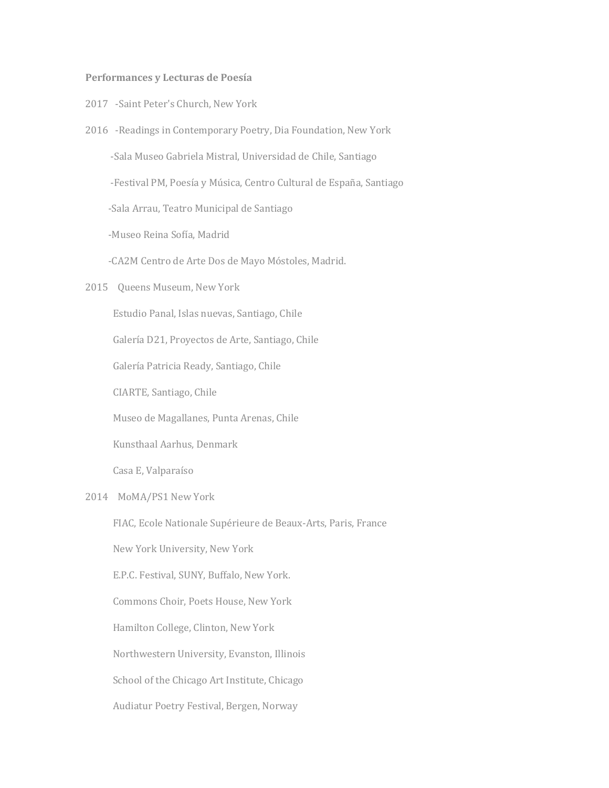## **Performances y Lecturas de Poesía**

- 2017 -Saint Peter's Church, New York
- 2016 -Readings in Contemporary Poetry, Dia Foundation, New York

-Sala Museo Gabriela Mistral, Universidad de Chile, Santiago

-Festival PM, Poesía y Música, Centro Cultural de España, Santiago

-Sala Arrau, Teatro Municipal de Santiago

-Museo Reina Sofía, Madrid

-CA2M Centro de Arte Dos de Mayo Móstoles, Madrid.

2015 Queens Museum, New York

Estudio Panal, Islas nuevas, Santiago, Chile

Galería D21, Proyectos de Arte, Santiago, Chile

Galería Patricia Ready, Santiago, Chile

CIARTE, Santiago, Chile

Museo de Magallanes, Punta Arenas, Chile

 Kunsthaal Aarhus, Denmark

Casa E, Valparaíso

## 2014 MoMA/PS1 New York

FIAC, Ecole Nationale Supérieure de Beaux-Arts, Paris, France

New York University, New York

E.P.C. Festival, SUNY, Buffalo, New York.

Commons Choir, Poets House, New York

Hamilton College, Clinton, New York

Northwestern University, Evanston, Illinois

School of the Chicago Art Institute, Chicago

Audiatur Poetry Festival, Bergen, Norway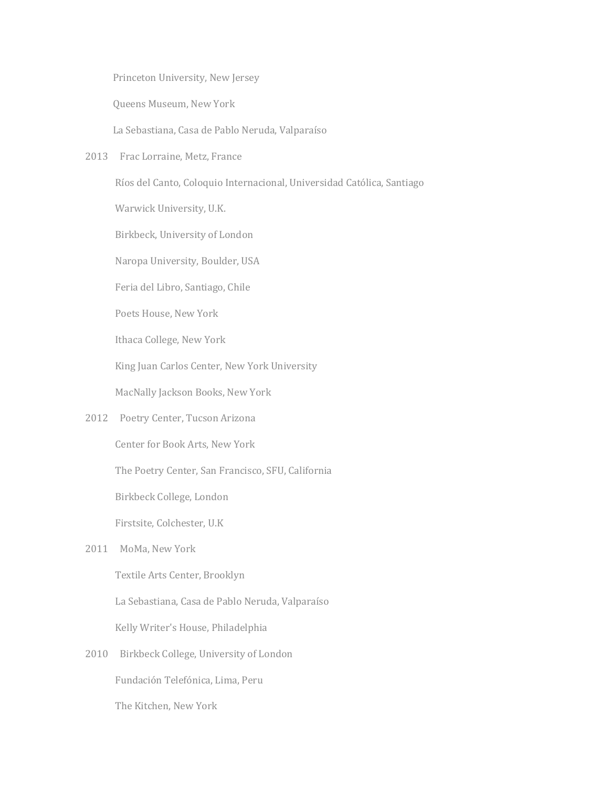Princeton University, New Jersey

 Queens Museum, New York

La Sebastiana, Casa de Pablo Neruda, Valparaíso

2013 Frac Lorraine, Metz, France

Ríos del Canto, Coloquio Internacional, Universidad Católica, Santiago

Warwick University, U.K.

Birkbeck, University of London

Naropa University, Boulder, USA

Feria del Libro, Santiago, Chile

Poets House, New York

Ithaca College, New York

King Juan Carlos Center, New York University

MacNally Jackson Books, New York

2012 Poetry Center, Tucson Arizona

Center for Book Arts, New York

The Poetry Center, San Francisco, SFU, California

Birkbeck College, London

Firstsite, Colchester, U.K.

2011 MoMa, New York

Textile Arts Center, Brooklyn

La Sebastiana, Casa de Pablo Neruda, Valparaíso

Kelly Writer's House, Philadelphia

2010 Birkbeck College, University of London Fundación Telefónica, Lima, Peru The Kitchen, New York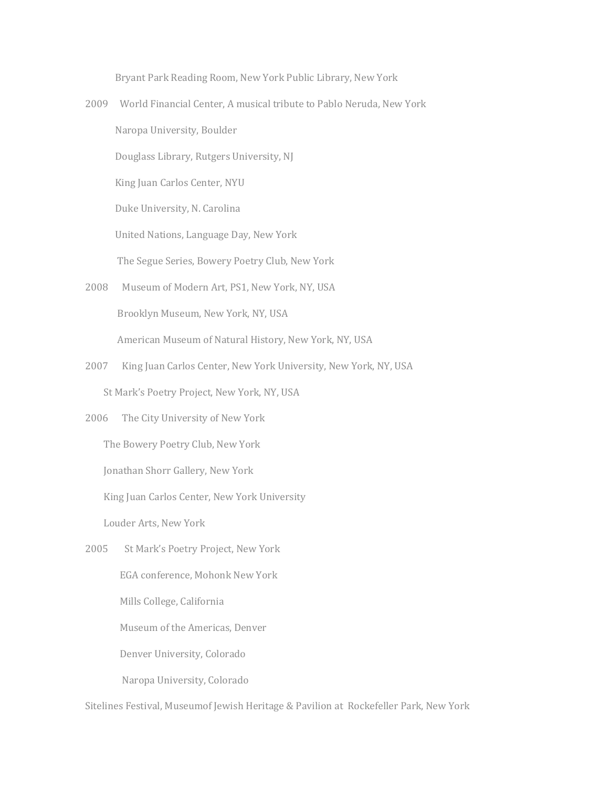Bryant Park Reading Room, New York Public Library, New York

2009 World Financial Center, A musical tribute to Pablo Neruda, New York Naropa University, Boulder Douglass Library, Rutgers University, NJ King Juan Carlos Center, NYU Duke University, N. Carolina United Nations, Language Day, New York The Segue Series, Bowery Poetry Club, New York 2008 Museum of Modern Art, PS1, New York, NY, USA Brooklyn Museum, New York, NY, USA

American Museum of Natural History, New York, NY, USA

2007 King Juan Carlos Center, New York University, New York, NY, USA

St Mark's Poetry Project, New York, NY, USA

2006 The City University of New York

The Bowery Poetry Club, New York

Jonathan Shorr Gallery, New York

King Juan Carlos Center, New York University

Louder Arts, New York

2005 St Mark's Poetry Project, New York

EGA conference, Mohonk New York

Mills College, California

Museum of the Americas, Denver

Denver University, Colorado

Naropa University, Colorado

Sitelines Festival, Museumof Jewish Heritage & Pavilion at Rockefeller Park, New York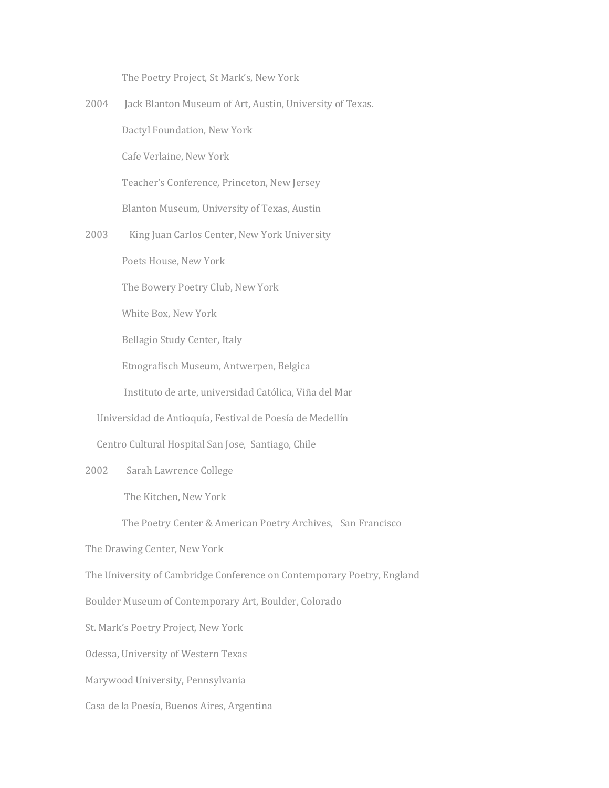The Poetry Project, St Mark's, New York

- 2004 Jack Blanton Museum of Art, Austin, University of Texas. Dactyl Foundation, New York Cafe Verlaine, New York Teacher's Conference, Princeton, New Jersey Blanton Museum, University of Texas, Austin
- 2003 King Juan Carlos Center, New York University

Poets House, New York

The Bowery Poetry Club, New York

White Box, New York

Bellagio Study Center, Italy

Etnografisch Museum, Antwerpen, Belgica

Instituto de arte, universidad Católica, Viña del Mar

Universidad de Antioquía, Festival de Poesía de Medellín

Centro Cultural Hospital San Jose, Santiago, Chile

2002 Sarah Lawrence College

The Kitchen, New York

The Poetry Center & American Poetry Archives, San Francisco

The Drawing Center, New York

The University of Cambridge Conference on Contemporary Poetry, England

Boulder Museum of Contemporary Art, Boulder, Colorado

St. Mark's Poetry Project, New York

Odessa, University of Western Texas

Marywood University, Pennsylvania

Casa de la Poesía, Buenos Aires, Argentina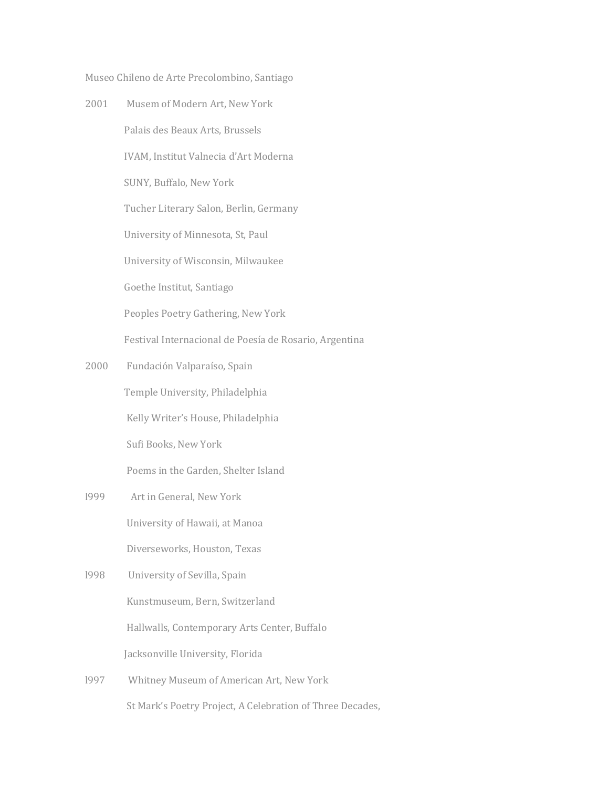Museo Chileno de Arte Precolombino, Santiago

- 2001 Musem of Modern Art, New York Palais des Beaux Arts, Brussels IVAM, Institut Valnecia d'Art Moderna SUNY, Buffalo, New York Tucher Literary Salon, Berlin, Germany University of Minnesota, St, Paul University of Wisconsin, Milwaukee Goethe Institut, Santiago Peoples Poetry Gathering, New York Festival Internacional de Poesía de Rosario, Argentina 2000 Fundación Valparaíso, Spain
- Temple University, Philadelphia Kelly Writer's House, Philadelphia Sufi Books, New York Poems in the Garden, Shelter Island
- l999 Art in General, New York University of Hawaii, at Manoa Diverseworks, Houston, Texas
- 1998 University of Sevilla, Spain Kunstmuseum, Bern, Switzerland Hallwalls, Contemporary Arts Center, Buffalo Jacksonville University, Florida
- 1997 Whitney Museum of American Art, New York St Mark's Poetry Project, A Celebration of Three Decades,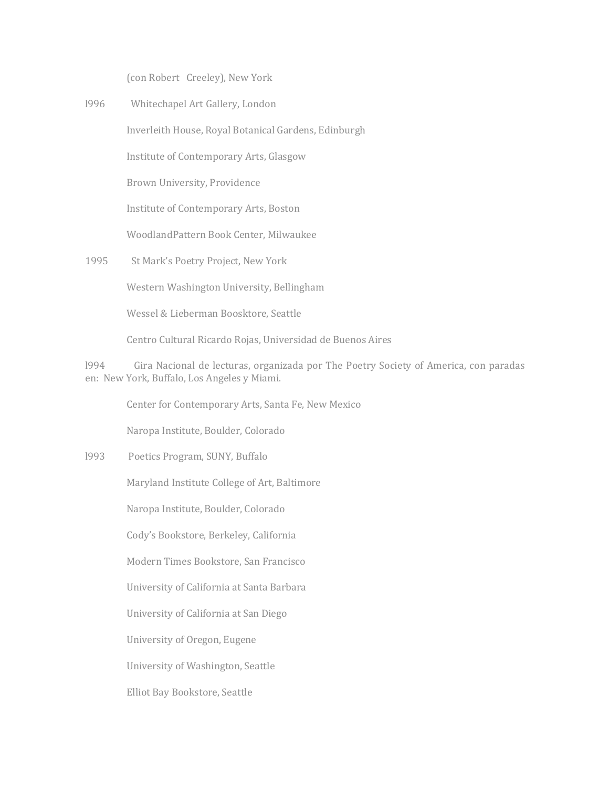(con Robert Creeley), New York

1996 Whitechapel Art Gallery, London

Inverleith House, Royal Botanical Gardens, Edinburgh

Institute of Contemporary Arts, Glasgow

Brown University, Providence

Institute of Contemporary Arts, Boston

WoodlandPattern Book Center, Milwaukee

1995 St Mark's Poetry Project, New York

Western Washington University, Bellingham

Wessel & Lieberman Boosktore, Seattle

Centro Cultural Ricardo Rojas, Universidad de Buenos Aires

1994 Gira Nacional de lecturas, organizada por The Poetry Society of America, con paradas en: New York, Buffalo, Los Angeles y Miami.

Center for Contemporary Arts, Santa Fe, New Mexico

Naropa Institute, Boulder, Colorado

l993 Poetics Program, SUNY, Buffalo

Maryland Institute College of Art, Baltimore

Naropa Institute, Boulder, Colorado

Cody's Bookstore, Berkeley, California

Modern Times Bookstore, San Francisco

University of California at Santa Barbara

University of California at San Diego

University of Oregon, Eugene

University of Washington, Seattle

Elliot Bay Bookstore, Seattle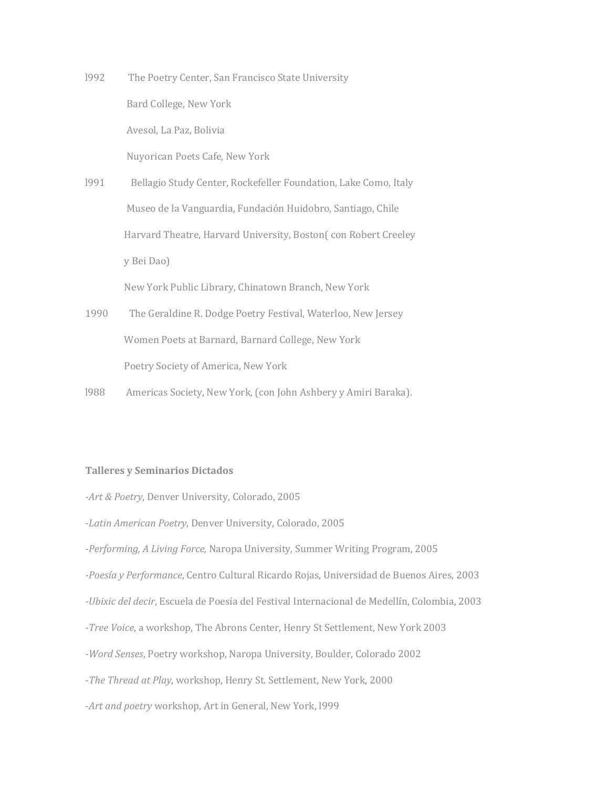- 1992 The Poetry Center, San Francisco State University Bard College, New York Avesol, La Paz, Bolivia Nuyorican Poets Cafe, New York
- 1991 Bellagio Study Center, Rockefeller Foundation, Lake Como, Italy Museo de la Vanguardia, Fundación Huidobro, Santiago, Chile Harvard Theatre, Harvard University, Boston( con Robert Creeley y Bei Dao) New York Public Library, Chinatown Branch, New York
- 1990 The Geraldine R. Dodge Poetry Festival, Waterloo, New Jersey Women Poets at Barnard, Barnard College, New York Poetry Society of America, New York
- 1988 Americas Society, New York, (con John Ashbery y Amiri Baraka).

## **Talleres y Seminarios Dictados**

*-Art & Poetry*, Denver University, Colorado, 2005

*-Latin American Poetry*, Denver University, Colorado, 2005

*-Performing, A Living Force*, Naropa University, Summer Writing Program, 2005

*-Poesía y Performance*, Centro Cultural Ricardo Rojas, Universidad de Buenos Aires, 2003

*-Ubixic del decir*, Escuela de Poesía del Festival Internacional de Medellín, Colombia, 2003

*-Tree Voice*, a workshop, The Abrons Center, Henry St Settlement, New York 2003

*-Word Senses*, Poetry workshop, Naropa University, Boulder, Colorado 2002

-*The Thread at Play*, workshop, Henry St. Settlement, New York, 2000

-Art and poetry workshop, Art in General, New York, 1999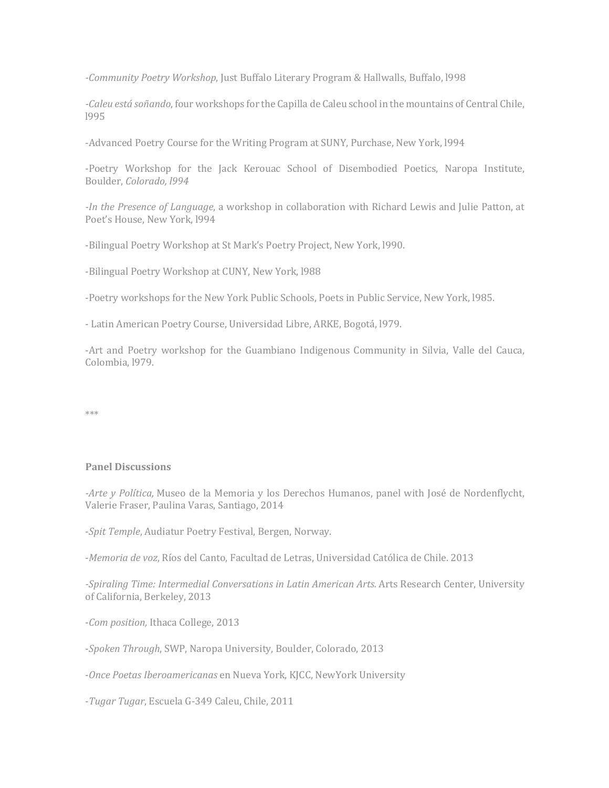-Community Poetry Workshop, Just Buffalo Literary Program & Hallwalls, Buffalo, 1998

-Caleu está soñando, four workshops for the Capilla de Caleu school in the mountains of Central Chile, l995

-Advanced Poetry Course for the Writing Program at SUNY, Purchase, New York, 1994

-Poetry Workshop for the Jack Kerouac School of Disembodied Poetics, Naropa Institute, Boulder, *Colorado*, 1994

*-In the Presence of Language*, a workshop in collaboration with Richard Lewis and Julie Patton, at Poet's House, New York, 1994

-Bilingual Poetry Workshop at St Mark's Poetry Project, New York, 1990.

-Bilingual Poetry Workshop at CUNY, New York, 1988

-Poetry workshops for the New York Public Schools, Poets in Public Service, New York, 1985.

- Latin American Poetry Course, Universidad Libre, ARKE, Bogotá, 1979.

-Art and Poetry workshop for the Guambiano Indigenous Community in Silvia, Valle del Cauca, Colombia, 1979.

\*\*\*

## **Panel Discussions**

*-Arte y Política*, Museo de la Memoria y los Derechos Humanos, panel with José de Nordenflycht, Valerie Fraser, Paulina Varas, Santiago, 2014

-*Spit Temple*, Audiatur Poetry Festival, Bergen, Norway.

-*Memoria de voz*, Ríos del Canto, Facultad de Letras, Universidad Católica de Chile. 2013

-Spiraling Time: Intermedial Conversations in Latin American Arts. Arts Research Center, University of California, Berkeley, 2013

-*Com position,* Ithaca College, 2013

-*Spoken Through*, SWP, Naropa University, Boulder, Colorado, 2013

-*Once Poetas Iberoamericanas* en Nueva York, KJCC, NewYork University

-*Tugar Tugar*, Escuela G-349 Caleu, Chile, 2011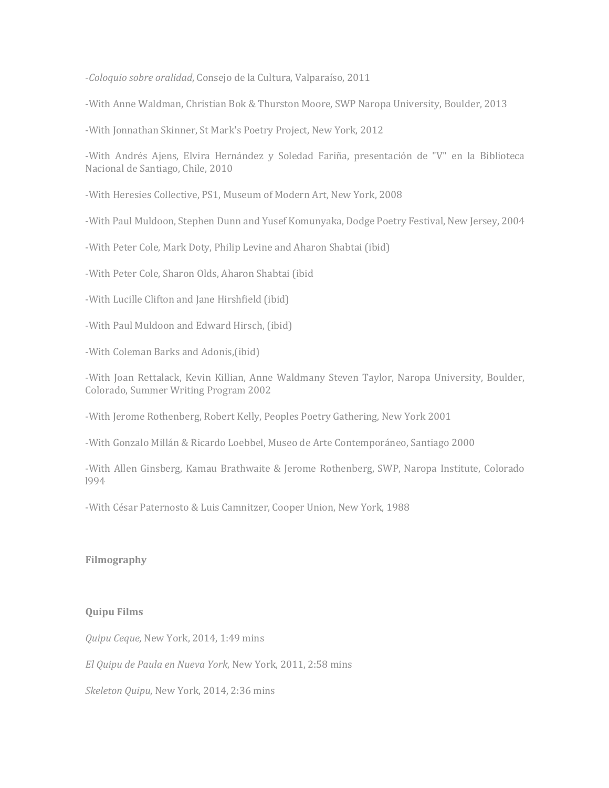-Coloquio sobre oralidad, Consejo de la Cultura, Valparaíso, 2011

-With Anne Waldman, Christian Bok & Thurston Moore, SWP Naropa University, Boulder, 2013

-With Jonnathan Skinner, St Mark's Poetry Project, New York, 2012

-With Andrés Ajens, Elvira Hernández y Soledad Fariña, presentación de "V" en la Biblioteca Nacional de Santiago, Chile, 2010

-With Heresies Collective, PS1, Museum of Modern Art, New York, 2008

-With Paul Muldoon, Stephen Dunn and Yusef Komunyaka, Dodge Poetry Festival, New Jersey, 2004

-With Peter Cole, Mark Doty, Philip Levine and Aharon Shabtai (ibid)

-With Peter Cole, Sharon Olds, Aharon Shabtai (ibid

-With Lucille Clifton and Jane Hirshfield (ibid)

-With Paul Muldoon and Edward Hirsch, (ibid)

-With Coleman Barks and Adonis,(ibid)

-With Joan Rettalack, Kevin Killian, Anne Waldmany Steven Taylor, Naropa University, Boulder, Colorado, Summer Writing Program 2002

-With Jerome Rothenberg, Robert Kelly, Peoples Poetry Gathering, New York 2001

-With Gonzalo Millán & Ricardo Loebbel, Museo de Arte Contemporáneo, Santiago 2000

-With Allen Ginsberg, Kamau Brathwaite & Jerome Rothenberg, SWP, Naropa Institute, Colorado l994

-With César Paternosto & Luis Camnitzer, Cooper Union, New York, 1988

## **Filmography**

## **Quipu Films**

*Quipu Ceque, New York, 2014, 1:49 mins* 

*El Quipu de Paula en Nueva York*, New York, 2011, 2:58 mins

*Skeleton Quipu*, New York, 2014, 2:36 mins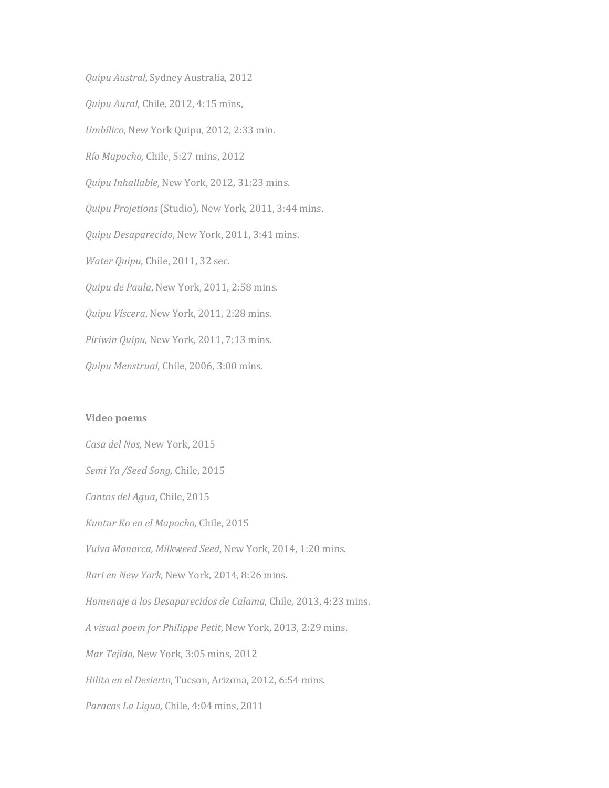*Quipu Austral*, Sydney Australia, 2012 *Quipu Aural*, Chile, 2012, 4:15 mins, *Umbílico*, New York Quipu, 2012, 2:33 min. *Río Mapocho,* Chile, 5:27 mins, 2012 *Quipu Inhallable*, New York, 2012, 31:23 mins. *Quipu Projetions* (Studio), New York, 2011, 3:44 mins. *Quipu Desaparecido*, New York, 2011, 3:41 mins. *Water Quipu*, Chile, 2011, 32 sec. *Quipu de Paula*, New York, 2011, 2:58 mins. *Quipu Víscera*, New York, 2011, 2:28 mins. Piriwin Quipu, New York, 2011, 7:13 mins. *Quipu Menstrual*, Chile, 2006, 3:00 mins.

## **Video poems**

*Casa del Nos,* New York, 2015 *Semi Ya / Seed Song, Chile, 2015 Cantos del Agua***,** Chile, 2015 *Kuntur Ko en el Mapocho, Chile, 2015 Vulva Monarca, Milkweed Seed, New York, 2014, 1:20 mins. Rari en New York, New York, 2014, 8:26 mins. Homenaje a los Desaparecidos de Calama*, Chile, 2013, 4:23 mins. *A visual poem for Philippe Petit*, New York, 2013, 2:29 mins. *Mar Tejido, New York, 3:05 mins, 2012 Hilito en el Desierto*, Tucson, Arizona, 2012, 6:54 mins. Paracas La Ligua, Chile, 4:04 mins, 2011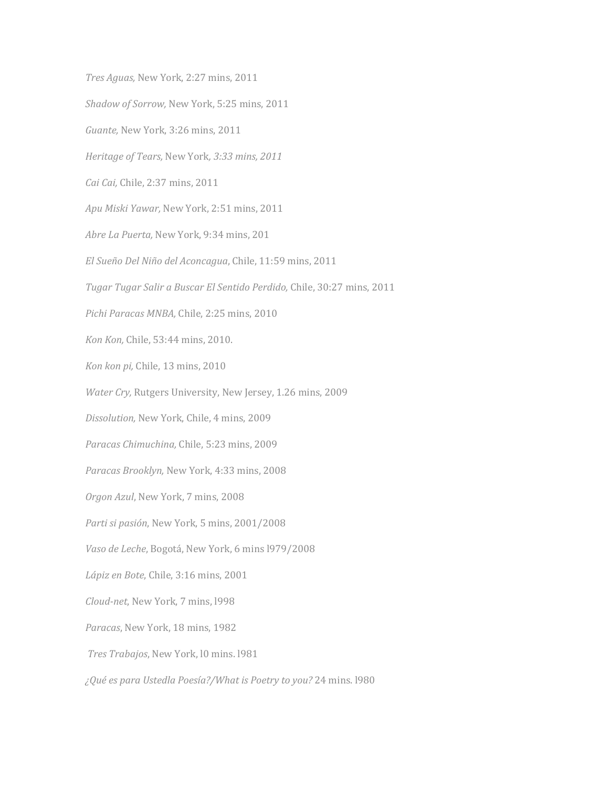*Tres Aguas,* New York, 2:27 mins, 2011 Shadow of Sorrow, New York, 5:25 mins, 2011 *Guante, New York, 3:26 mins, 2011 Heritage of Tears,* New York*, 3:33 mins, 2011 Cai Cai,* Chile, 2:37 mins, 2011 Apu Miski Yawar, New York, 2:51 mins, 2011 *Abre La Puerta, New York, 9:34 mins, 201 El Sueño Del Niño del Aconcagua*, Chile, 11:59 mins, 2011 *Tugar Tugar Salir a Buscar El Sentido Perdido,* Chile, 30:27 mins, 2011 Pichi Paracas MNBA, Chile, 2:25 mins, 2010 *Kon Kon, Chile,* 53:44 mins, 2010. *Kon kon pi, Chile, 13 mins, 2010 Water Cry, Rutgers University, New Jersey, 1.26 mins, 2009 Dissolution,* New York, Chile, 4 mins, 2009 Paracas Chimuchina, Chile, 5:23 mins, 2009 Paracas Brooklyn, New York, 4:33 mins, 2008 *Orgon Azul, New York, 7 mins, 2008* Parti si pasión, New York, 5 mins, 2001/2008 *Vaso de Leche*, Bogotá, New York, 6 mins l979/2008 Lápiz en Bote, Chile, 3:16 mins, 2001 *Cloud-net*, New York, 7 mins, 1998 Paracas, New York, 18 mins, 1982 *Tres Trabajos*, New York, 10 mins. 1981 *¿Qué es para Ustedla Poesía?/What is Poetry to you?* 24 mins. l980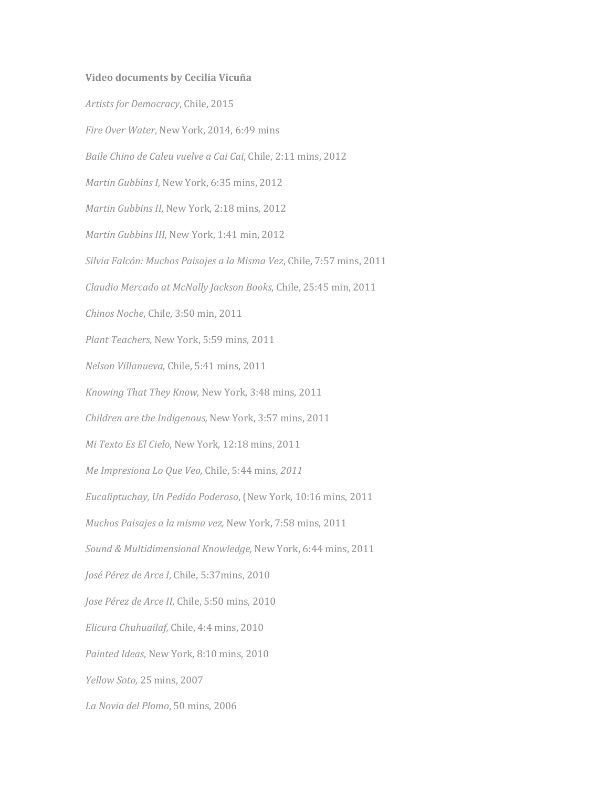#### **Video documents by Cecilia Vicuña**

Artists for Democracy, Chile, 2015 *Fire Over Water*, New York, 2014, 6:49 mins *Baile Chino de Caleu vuelve a Cai Cai*, Chile, 2:11 mins, 2012 *Martin Gubbins I, New York, 6:35 mins, 2012 Martin Gubbins II*, New York, 2:18 mins, 2012 *Martin Gubbins III, New York, 1:41 min, 2012 Silvia Falcón: Muchos Paisajes a la Misma Vez*, Chile, 7:57 mins, 2011 *Claudio Mercado at McNally Jackson Books*, Chile, 25:45 min, 2011 *Chinos Noche, Chile, 3:50 min, 2011 Plant Teachers, New York, 5:59 mins, 2011 Nelson Villanueva*, Chile, 5:41 mins, 2011 *Knowing That They Know, New York, 3:48 mins, 2011 Children are the Indigenous, New York, 3:57 mins, 2011 Mi Texto Es El Cielo*, New York, 12:18 mins, 2011 *Me Impresiona Lo Que Veo, Chile, 5:44 mins, 2011 Eucaliptuchay, Un Pedido Poderoso,* (New York, 10:16 mins, 2011 *Muchos Paisajes a la misma vez, New York, 7:58 mins, 2011 Sound & Multidimensional Knowledge,* New York, 6:44 mins, 2011 *José Pérez de Arce I*, Chile, 5:37mins, 2010 *Jose Pérez de Arce II, Chile, 5:50 mins, 2010 Elicura Chuhuailaf, Chile, 4:4 mins, 2010* Painted Ideas, New York, 8:10 mins, 2010 *Yellow Soto,* 25 mins, 2007 *La Novia del Plomo*, 50 mins, 2006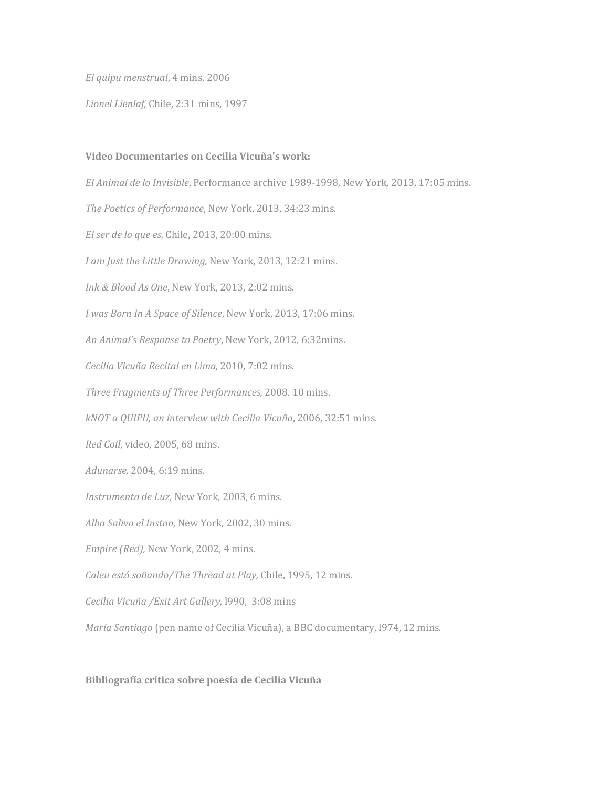*El quipu menstrual*, 4 mins, 2006

Lionel Lienlaf, Chile, 2:31 mins, 1997

## **Video Documentaries on Cecilia Vicuña's work:**

*El Animal de lo Invisible*, Performance archive 1989-1998, New York, 2013, 17:05 mins.

The Poetics of Performance, New York, 2013, 34:23 mins.

*El ser de lo que es, Chile, 2013, 20:00 mins.* 

*I* am Just the Little Drawing, New York, 2013, 12:21 mins.

*Ink & Blood As One*, New York, 2013, 2:02 mins.

*I* was Born In A Space of Silence, New York, 2013, 17:06 mins.

An Animal's Response to Poetry, New York, 2012, 6:32mins.

*Cecilia Vicuña Recital en Lima,* 2010, 7:02 mins.

*Three Fragments of Three Performances,* 2008. 10 mins.

*kNOT a QUIPU, an interview with Cecilia Vicuña*, 2006, 32:51 mins.

*Red Coil*, video, 2005, 68 mins.

*Adunarse,* 2004, 6:19 mins.

*Instrumento de Luz*, New York, 2003, 6 mins.

*Alba Saliva el Instan, New York, 2002, 30 mins.* 

*Empire (Red)*, New York, 2002, 4 mins.

*Caleu está soñando/The Thread at Play, Chile, 1995, 12 mins.* 

*Cecilia Vicuña /Exit Art Gallery,* l990, 3:08 mins

*María Santiago* (pen name of Cecilia Vicuña), a BBC documentary, 1974, 12 mins.

**Bibliografía crítica sobre poesía de Cecilia Vicuña**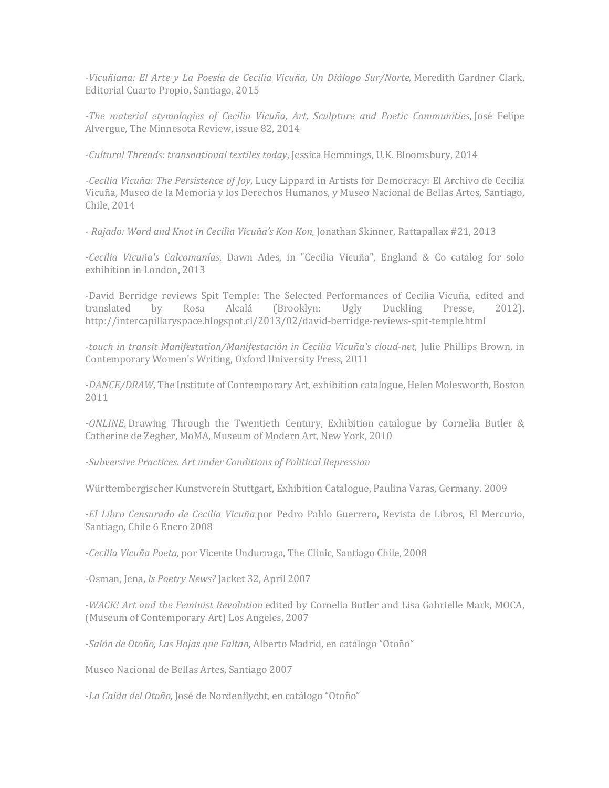*-Vicuñiana: El Arte y La Poesía de Cecilia Vicuña, Un Diálogo Sur/Norte, Meredith Gardner Clark,* Editorial Cuarto Propio, Santiago, 2015

*-The material etymologies of Cecilia Vicuña, Art, Sculpture and Poetic Communities***,** José Felipe Alvergue, The Minnesota Review, issue 82, 2014

-*Cultural Threads: transnational textiles today*, Jessica Hemmings, U.K. Bloomsbury, 2014

-*Cecilia Vicuña: The Persistence of Joy*, Lucy Lippard in Artists for Democracy: El Archivo de Cecilia Vicuña, Museo de la Memoria y los Derechos Humanos, y Museo Nacional de Bellas Artes, Santiago, Chile, 2014

- *Rajado: Word and Knot in Cecilia Vicuña's Kon Kon*, Jonathan Skinner, Rattapallax #21, 2013

-Cecilia Vicuña's Calcomanías, Dawn Ades, in "Cecilia Vicuña", England & Co catalog for solo exhibition in London, 2013

-David Berridge reviews Spit Temple: The Selected Performances of Cecilia Vicuña, edited and translated by Rosa Alcalá (Brooklyn: Ugly Duckling Presse, 2012). http://intercapillaryspace.blogspot.cl/2013/02/david-berridge-reviews-spit-temple.html

-touch in transit Manifestation/Manifestación in Cecilia Vicuña's cloud-net, Julie Phillips Brown, in Contemporary Women's Writing, Oxford University Press, 2011

-*DANCE/DRAW*, The Institute of Contemporary Art, exhibition catalogue, Helen Molesworth, Boston 2011 

**-***ONLINE,* Drawing Through the Twentieth Century, Exhibition catalogue by Cornelia Butler & Catherine de Zegher, MoMA, Museum of Modern Art, New York, 2010

-*Subversive Practices. Art under Conditions of Political Repression*

Württembergischer Kunstverein Stuttgart, Exhibition Catalogue, Paulina Varas, Germany. 2009

-*El Libro Censurado de Cecilia Vicuña* por Pedro Pablo Guerrero, Revista de Libros, El Mercurio, Santiago, Chile 6 Enero 2008

-*Cecilia Vicuña Poeta,* por Vicente Undurraga, The Clinic, Santiago Chile, 2008

-Osman, Jena, *Is Poetry News?* Jacket 32, April 2007

*-WACK! Art and the Feminist Revolution* edited by Cornelia Butler and Lisa Gabrielle Mark, MOCA, (Museum of Contemporary Art) Los Angeles, 2007

-*Salón de Otoño, Las Hojas que Faltan*, Alberto Madrid, en catálogo "Otoño"

Museo Nacional de Bellas Artes, Santiago 2007

-La Caída del Otoño, José de Nordenflycht, en catálogo "Otoño"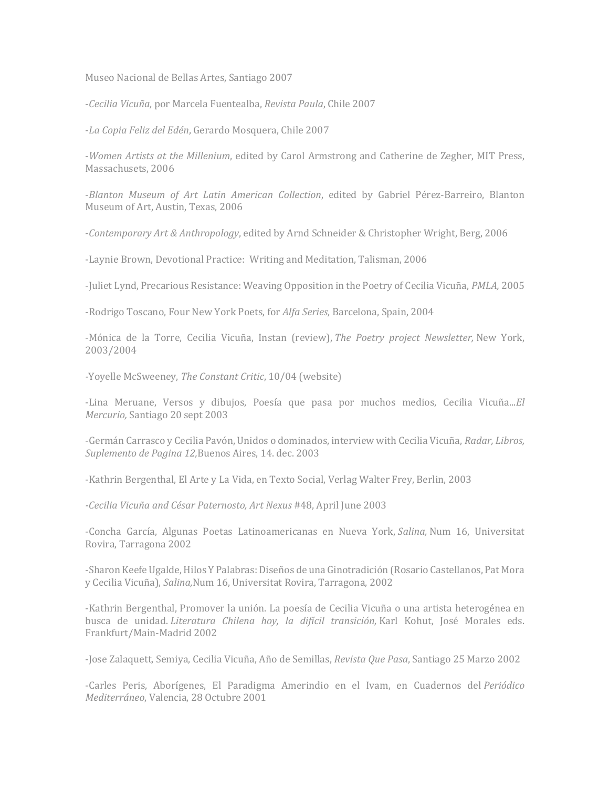Museo Nacional de Bellas Artes, Santiago 2007

-*Cecilia Vicuña*, por Marcela Fuentealba, *Revista Paula*, Chile 2007

-*La Copia Feliz del Edén*, Gerardo Mosquera, Chile 2007

-*Women Artists at the Millenium*, edited by Carol Armstrong and Catherine de Zegher, MIT Press, Massachusets, 2006

-*Blanton Museum of Art Latin American Collection*, edited by Gabriel Pérez-Barreiro, Blanton Museum of Art, Austin, Texas, 2006

-Contemporary Art & Anthropology, edited by Arnd Schneider & Christopher Wright, Berg, 2006

-Laynie Brown, Devotional Practice: Writing and Meditation, Talisman, 2006

-Juliet Lynd, Precarious Resistance: Weaving Opposition in the Poetry of Cecilia Vicuña, *PMLA*, 2005

-Rodrigo Toscano, Four New York Poets, for *Alfa Series*, Barcelona, Spain, 2004

-Mónica de la Torre, Cecilia Vicuña, Instan (review), *The Poetry project Newsletter*, New York, 2003/2004

*-*Yoyelle McSweeney, *The Constant Critic*, 10/04 (website)

-Lina Meruane, Versos y dibujos, Poesía que pasa por muchos medios, Cecilia Vicuña...*El Mercurio,* Santiago 20 sept 2003

-Germán Carrasco y Cecilia Pavón, Unidos o dominados, interview with Cecilia Vicuña, *Radar, Libros,* Suplemento de Pagina 12, Buenos Aires, 14. dec. 2003

-Kathrin Bergenthal, El Arte y La Vida, en Texto Social, Verlag Walter Frey, Berlin, 2003

*-Cecilia Vicuña and César Paternosto, Art Nexus* #48, April June 2003

-Concha García, Algunas Poetas Latinoamericanas en Nueva York, *Salina,* Num 16, Universitat Rovira, Tarragona 2002

-Sharon Keefe Ugalde, Hilos Y Palabras: Diseños de una Ginotradición (Rosario Castellanos, Pat Mora y Cecilia Vicuña), *Salina,*Num 16, Universitat Rovira, Tarragona, 2002

-Kathrin Bergenthal, Promover la unión. La poesía de Cecilia Vicuña o una artista heterogénea en busca de unidad. *Literatura Chilena hoy, la difícil transición*, Karl Kohut, José Morales eds. Frankfurt/Main-Madrid 2002

-Jose Zalaquett, Semiya, Cecilia Vicuña, Año de Semillas, *Revista Que Pasa*, Santiago 25 Marzo 2002

-Carles Peris, Aborígenes, El Paradigma Amerindio en el Ivam, en Cuadernos del *Periódico Mediterráneo*, Valencia, 28 Octubre 2001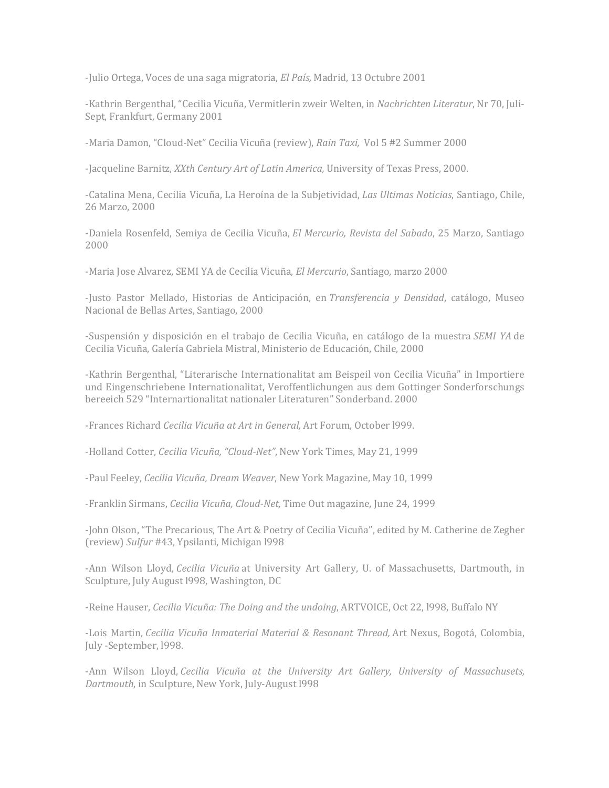-Julio Ortega, Voces de una saga migratoria, *El País*, Madrid, 13 Octubre 2001

-Kathrin Bergenthal, "Cecilia Vicuña, Vermitlerin zweir Welten, in *Nachrichten Literatur*, Nr 70, Juli-Sept, Frankfurt, Germany 2001

-Maria Damon, "Cloud-Net" Cecilia Vicuña (review), *Rain Taxi*, Vol 5 #2 Summer 2000

-Jacqueline Barnitz, XXth Century Art of Latin America, University of Texas Press, 2000.

-Catalina Mena, Cecilia Vicuña, La Heroína de la Subjetividad, *Las Ultimas Noticias*, Santiago, Chile, 26 Marzo, 2000

-Daniela Rosenfeld, Semiya de Cecilia Vicuña, *El Mercurio, Revista del Sabado*, 25 Marzo, Santiago 2000

-Maria Jose Alvarez, SEMI YA de Cecilia Vicuña, *El Mercurio*, Santiago, marzo 2000

-Justo Pastor Mellado, Historias de Anticipación, en *Transferencia y Densidad*, catálogo, Museo Nacional de Bellas Artes, Santiago, 2000

-Suspensión y disposición en el trabajo de Cecilia Vicuña, en catálogo de la muestra *SEMI YA* de Cecilia Vicuña, Galería Gabriela Mistral, Ministerio de Educación, Chile, 2000

-Kathrin Bergenthal, "Literarische Internationalitat am Beispeil von Cecilia Vicuña" in Importiere und Eingenschriebene Internationalitat, Veroffentlichungen aus dem Gottinger Sonderforschungs bereeich 529 "Internartionalitat nationaler Literaturen" Sonderband. 2000

-Frances Richard *Cecilia Vicuña at Art in General*, Art Forum, October 1999.

-Holland Cotter, *Cecilia Vicuña, "Cloud-Net"*, New York Times, May 21, 1999

-Paul Feeley, *Cecilia Vicuña, Dream Weaver*, New York Magazine, May 10, 1999

-Franklin Sirmans, *Cecilia Vicuña, Cloud-Net*, Time Out magazine, June 24, 1999

-John Olson, "The Precarious, The Art & Poetry of Cecilia Vicuña", edited by M. Catherine de Zegher (review) *Sulfur* #43, Ypsilanti, Michigan l998

-Ann Wilson Lloyd, *Cecilia Vicuña* at University Art Gallery, U. of Massachusetts, Dartmouth, in Sculpture, July August 1998, Washington, DC

-Reine Hauser, *Cecilia Vicuña: The Doing and the undoing*, ARTVOICE, Oct 22, 1998, Buffalo NY

-Lois Martin, *Cecilia Vicuña Inmaterial Material & Resonant Thread,* Art Nexus, Bogotá, Colombia, July -September, 1998.

-Ann Wilson Lloyd, *Cecilia Vicuña at the University Art Gallery*, *University of Massachusets*, Dartmouth, in Sculpture, New York, July-August 1998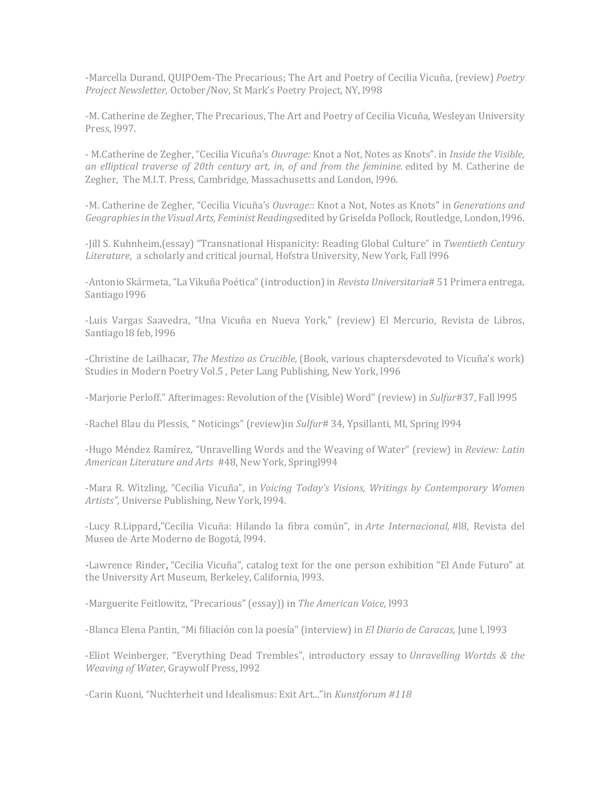-Marcella Durand, QUIPOem-The Precarious; The Art and Poetry of Cecilia Vicuña, (review) *Poetry Project Newsletter, October/Nov, St Mark's Poetry Project, NY, 1998* 

-M. Catherine de Zegher, The Precarious, The Art and Poetry of Cecilia Vicuña, Wesleyan University Press, 1997.

- M.Catherine de Zegher, "Cecilia Vicuña's *Ouvrage:* Knot a Not, Notes as Knots". in *Inside the Visible*, an elliptical traverse of 20th century art, in, of and from the feminine. edited by M. Catherine de Zegher, The M.I.T. Press, Cambridge, Massachusetts and London, 1996.

-M. Catherine de Zegher, "Cecilia Vicuña's *Ouvrage:*: Knot a Not, Notes as Knots" in *Generations and* Geographies in the Visual Arts, Feminist Readingsedited by Griselda Pollock, Routledge, London, 1996.

-Jill S. Kuhnheim,(essay) "Transnational Hispanicity: Reading Global Culture" in *Twentieth Century* Literature, a scholarly and critical journal, Hofstra University, New York, Fall 1996

-Antonio Skármeta, "La Vikuña Poética" (introduction) in *Revista Universitaria#* 51 Primera entrega, Santiago 1996

-Luis Vargas Saavedra, "Una Vicuña en Nueva York," (review) El Mercurio, Revista de Libros, Santiago 18 feb, 1996

-Christine de Lailhacar, *The Mestizo as Crucible*, (Book, various chaptersdevoted to Vicuña's work) Studies in Modern Poetry Vol.5, Peter Lang Publishing, New York, 1996

-Marjorie Perloff." Afterimages: Revolution of the (Visible) Word" (review) in *Sulfur*#37, Fall 1995

-Rachel Blau du Plessis, "Noticings" (review)in *Sulfur*# 34, Ypsillanti, MI, Spring 1994

-Hugo Méndez Ramírez, "Unravelling Words and the Weaving of Water" (review) in *Review: Latin American Literature and Arts* #48, New York, Springl994

-Mara R. Witzling, "Cecilia Vicuña", in *Voicing Today's Visions, Writings by Contemporary Women* Artists", Universe Publishing, New York, 1994.

-Lucy R.Lippard**,**"Cecilia Vicuña: Hilando la fibra común", in *Arte Internacional,* #l8, Revista del Museo de Arte Moderno de Bogotá, 1994.

**-**Lawrence Rinder**,** "Cecilia Vicuña", catalog text for the one person exhibition "El Ande Futuro" at the University Art Museum, Berkeley, California, 1993.

-Marguerite Feitlowitz, "Precarious" (essay)) in The American Voice, 1993

-Blanca Elena Pantin, "Mi filiación con la poesía" (interview) in *El Diario de Caracas*, June l, l993

-Eliot Weinberger, "Everything Dead Trembles", introductory essay to *Unravelling Wortds & the Weaving of Water, Graywolf Press, 1992* 

-Carin Kuoni, "Nuchterheit und Idealismus: Exit Art..."in *Kunstforum* #118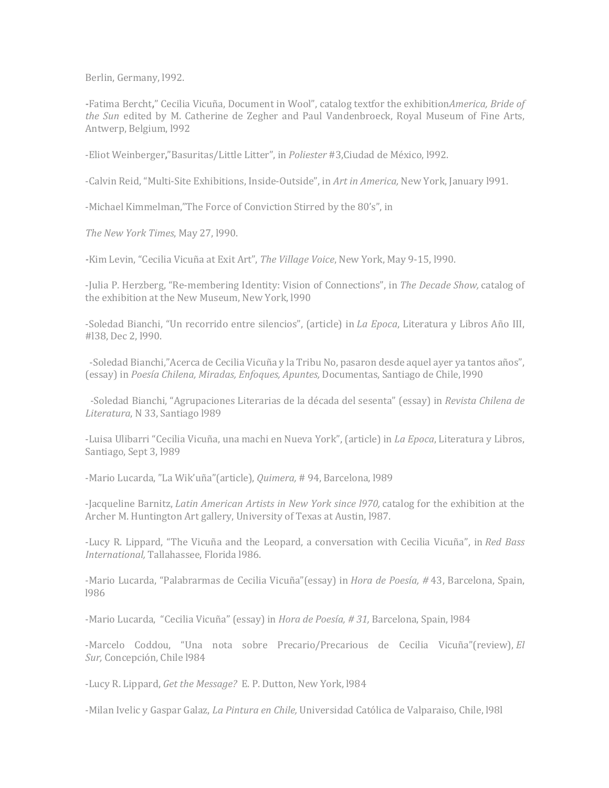Berlin, Germany, 1992.

**-**Fatima Bercht**,**" Cecilia Vicuña, Document in Wool", catalog textfor the exhibition*America, Bride of the Sun* edited by M. Catherine de Zegher and Paul Vandenbroeck, Royal Museum of Fine Arts, Antwerp, Belgium, 1992

-Eliot Weinberger**,**"Basuritas/Little Litter", in *Poliester* #3,Ciudad de México, l992.

-Calvin Reid, "Multi-Site Exhibitions, Inside-Outside", in Art in America, New York, January 1991.

-Michael Kimmelman,"The Force of Conviction Stirred by the 80's", in

The New York Times, May 27, 1990.

*-*Kim Levin, "Cecilia Vicuña at Exit Art", *The Village Voice*, New York, May 9-15, l990.

-Julia P. Herzberg, "Re-membering Identity: Vision of Connections", in *The Decade Show*, catalog of the exhibition at the New Museum, New York, 1990

-Soledad Bianchi, "Un recorrido entre silencios", (article) in *La Epoca*, Literatura y Libros Año III, #138, Dec 2, 1990.

-Soledad Bianchi,"Acerca de Cecilia Vicuña y la Tribu No, pasaron desde aquel ayer ya tantos años", (essay) in *Poesía Chilena, Miradas, Enfoques, Apuntes, Documentas, Santiago de Chile, 1990* 

-Soledad Bianchi, "Agrupaciones Literarias de la década del sesenta" (essay) in *Revista Chilena de* Literatura, N 33, Santiago 1989

-Luisa Ulibarri "Cecilia Vicuña, una machi en Nueva York", (article) in *La Epoca*, Literatura y Libros, Santiago, Sept 3, 1989

-Mario Lucarda, "La Wik'uña"(article), *Quimera*, # 94, Barcelona, 1989

-Jacqueline Barnitz, *Latin American Artists in New York since 1970*, catalog for the exhibition at the Archer M. Huntington Art gallery, University of Texas at Austin, 1987.

-Lucy R. Lippard, "The Vicuña and the Leopard, a conversation with Cecilia Vicuña", in *Red Bass International*, Tallahassee, Florida 1986.

-Mario Lucarda, "Palabrarmas de Cecilia Vicuña"(essay) in *Hora de Poesía, #* 43, Barcelona, Spain, l986

-Mario Lucarda, "Cecilia Vicuña" (essay) in *Hora de Poesía, #31*, Barcelona, Spain, l984

-Marcelo Coddou, "Una nota sobre Precario/Precarious de Cecilia Vicuña"(review), *El* Sur, Concepción, Chile 1984

-Lucy R. Lippard, Get the Message? E. P. Dutton, New York, 1984

-Milan Ivelic y Gaspar Galaz, *La Pintura en Chile*, Universidad Católica de Valparaiso, Chile, 1981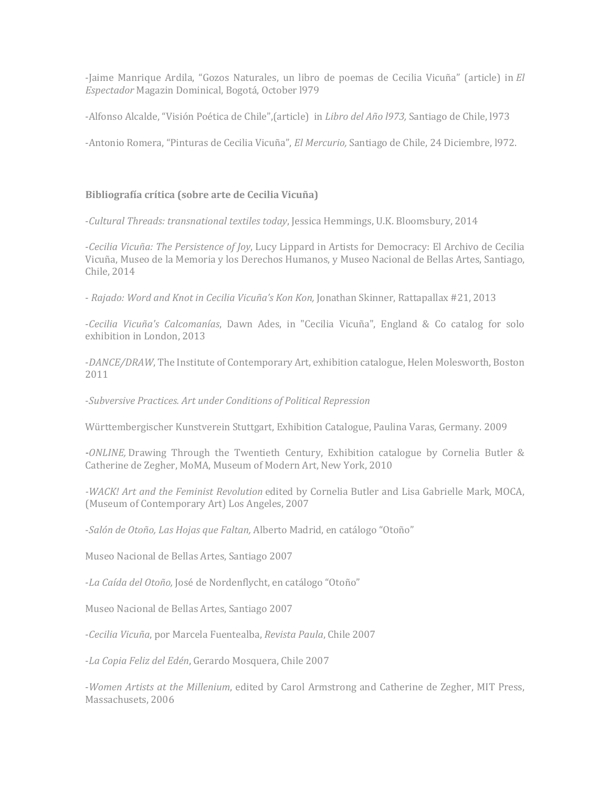-Jaime Manrique Ardila, "Gozos Naturales, un libro de poemas de Cecilia Vicuña" (article) in *El Espectador* Magazin Dominical, Bogotá, October l979

-Alfonso Alcalde, "Visión Poética de Chile",(article) in *Libro del Año l973,* Santiago de Chile, l973

-Antonio Romera, "Pinturas de Cecilia Vicuña", *El Mercurio*, Santiago de Chile, 24 Diciembre, 1972.

# **Bibliografía crítica (sobre arte de Cecilia Vicuña)**

-*Cultural Threads: transnational textiles today*, Jessica Hemmings, U.K. Bloomsbury, 2014

-*Cecilia Vicuña: The Persistence of Joy*, Lucy Lippard in Artists for Democracy: El Archivo de Cecilia Vicuña, Museo de la Memoria y los Derechos Humanos, y Museo Nacional de Bellas Artes, Santiago, Chile, 2014

- *Rajado: Word and Knot in Cecilia Vicuña's Kon Kon*, Jonathan Skinner, Rattapallax #21, 2013

-*Cecilia Vicuña's Calcomanías*, Dawn Ades, in "Cecilia Vicuña", England & Co catalog for solo exhibition in London, 2013

-*DANCE/DRAW*, The Institute of Contemporary Art, exhibition catalogue, Helen Molesworth, Boston 2011 

-*Subversive Practices. Art under Conditions of Political Repression*

Württembergischer Kunstverein Stuttgart, Exhibition Catalogue, Paulina Varas, Germany. 2009

-*ONLINE*, Drawing Through the Twentieth Century, Exhibition catalogue by Cornelia Butler & Catherine de Zegher, MoMA, Museum of Modern Art, New York, 2010

*-WACK! Art and the Feminist Revolution* edited by Cornelia Butler and Lisa Gabrielle Mark, MOCA, (Museum of Contemporary Art) Los Angeles, 2007

-*Salón de Otoño, Las Hojas que Faltan*, Alberto Madrid, en catálogo "Otoño"

Museo Nacional de Bellas Artes, Santiago 2007

-La Caída del Otoño, José de Nordenflycht, en catálogo "Otoño"

Museo Nacional de Bellas Artes, Santiago 2007

-*Cecilia Vicuña*, por Marcela Fuentealba, *Revista Paula*, Chile 2007

-*La Copia Feliz del Edén*, Gerardo Mosquera, Chile 2007

-*Women Artists at the Millenium*, edited by Carol Armstrong and Catherine de Zegher, MIT Press, Massachusets, 2006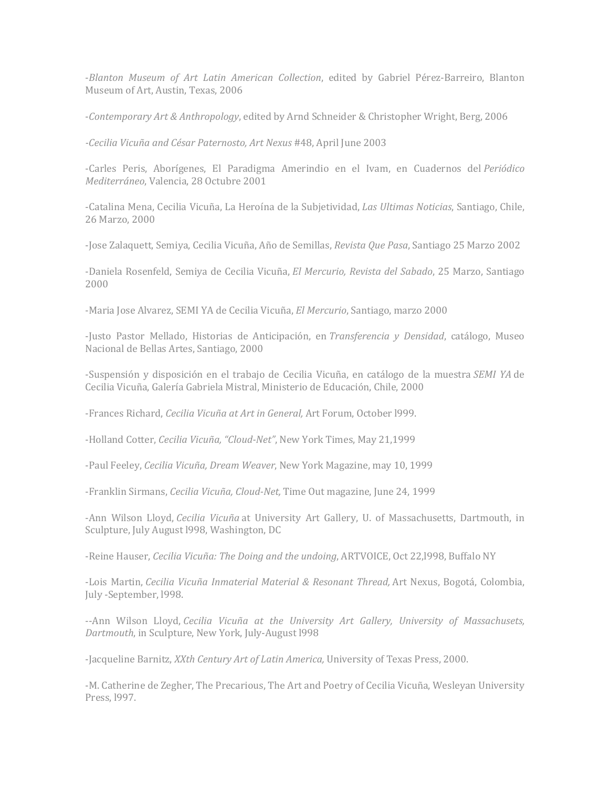-Blanton Museum of Art Latin American Collection, edited by Gabriel Pérez-Barreiro, Blanton Museum of Art, Austin, Texas, 2006

-Contemporary Art & Anthropology, edited by Arnd Schneider & Christopher Wright, Berg, 2006

*-Cecilia Vicuña and César Paternosto, Art Nexus* #48, April June 2003

-Carles Peris, Aborígenes, El Paradigma Amerindio en el Ivam, en Cuadernos del *Periódico Mediterráneo*, Valencia, 28 Octubre 2001

-Catalina Mena, Cecilia Vicuña, La Heroína de la Subjetividad, *Las Ultimas Noticias*, Santiago, Chile, 26 Marzo, 2000

-Jose Zalaquett, Semiya, Cecilia Vicuña, Año de Semillas, *Revista Que Pasa*, Santiago 25 Marzo 2002

-Daniela Rosenfeld, Semiya de Cecilia Vicuña, *El Mercurio, Revista del Sabado*, 25 Marzo, Santiago 2000

-Maria Jose Alvarez, SEMI YA de Cecilia Vicuña, *El Mercurio*, Santiago, marzo 2000

-Justo Pastor Mellado, Historias de Anticipación, en *Transferencia y Densidad*, catálogo, Museo Nacional de Bellas Artes, Santiago, 2000

-Suspensión y disposición en el trabajo de Cecilia Vicuña, en catálogo de la muestra *SEMI YA* de Cecilia Vicuña, Galería Gabriela Mistral, Ministerio de Educación, Chile, 2000

-Frances Richard, *Cecilia Vicuña at Art in General,* Art Forum, October l999.

-Holland Cotter, *Cecilia Vicuña, "Cloud-Net"*, New York Times, May 21,1999

-Paul Feeley, *Cecilia Vicuña, Dream Weaver*, New York Magazine, may 10, 1999

-Franklin Sirmans, *Cecilia Vicuña, Cloud-Net*, Time Out magazine, June 24, 1999

-Ann Wilson Lloyd, *Cecilia Vicuña* at University Art Gallery, U. of Massachusetts, Dartmouth, in Sculpture, July August 1998, Washington, DC

-Reine Hauser, *Cecilia Vicuña: The Doing and the undoing*, ARTVOICE, Oct 22,1998, Buffalo NY

-Lois Martin, *Cecilia Vicuña Inmaterial Material & Resonant Thread,* Art Nexus, Bogotá, Colombia, July -September, 1998.

--Ann Wilson Lloyd, *Cecilia Vicuña at the University Art Gallery, University of Massachusets*, *Dartmouth*, in Sculpture, New York, July-August 1998

-Jacqueline Barnitz, *XXth Century Art of Latin America*, University of Texas Press, 2000.

-M. Catherine de Zegher, The Precarious, The Art and Poetry of Cecilia Vicuña, Wesleyan University Press, 1997.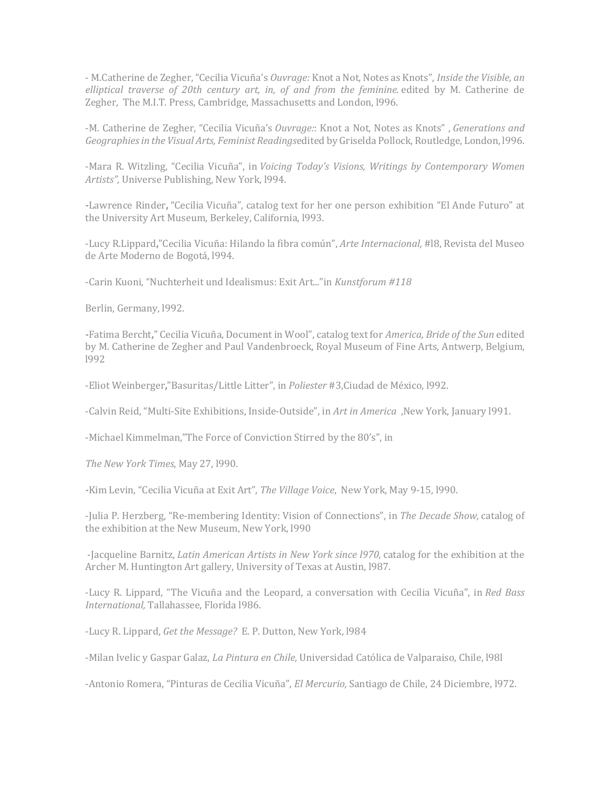- M.Catherine de Zegher, "Cecilia Vicuña's *Ouvrage:* Knot a Not, Notes as Knots", *Inside the Visible, an* elliptical traverse of 20th century art, in, of and from the feminine edited by M. Catherine de Zegher, The M.I.T. Press, Cambridge, Massachusetts and London, 1996.

-M. Catherine de Zegher, "Cecilia Vicuña's *Ouvrage:*: Knot a Not, Notes as Knots", *Generations and* Geographies in the Visual Arts, Feminist Readingsedited by Griselda Pollock, Routledge, London, 1996.

-Mara R. Witzling, "Cecilia Vicuña", in *Voicing Today's Visions, Writings by Contemporary Women* Artists", Universe Publishing, New York, 1994.

**-**Lawrence Rinder**,** "Cecilia Vicuña", catalog text for her one person exhibition "El Ande Futuro" at the University Art Museum, Berkeley, California, 1993.

-Lucy R.Lippard**,**"Cecilia Vicuña: Hilando la fibra común", *Arte Internacional,* #l8, Revista del Museo de Arte Moderno de Bogotá, 1994.

-Carin Kuoni, "Nuchterheit und Idealismus: Exit Art..."in *Kunstforum #118* 

Berlin, Germany, 1992.

**-**Fatima Bercht**,**" Cecilia Vicuña, Document in Wool", catalog text for *America, Bride of the Sun* edited by M. Catherine de Zegher and Paul Vandenbroeck, Royal Museum of Fine Arts, Antwerp, Belgium, l992

-Eliot Weinberger**,**"Basuritas/Little Litter", in *Poliester* #3,Ciudad de México, l992.

-Calvin Reid, "Multi-Site Exhibitions, Inside-Outside", in Art in America, New York, January 1991.

-Michael Kimmelman,"The Force of Conviction Stirred by the 80's", in

*The New York Times*, May 27, 1990.

*-*Kim Levin, "Cecilia Vicuña at Exit Art", *The Village Voice*, New York, May 9-15, l990.

-Julia P. Herzberg, "Re-membering Identity: Vision of Connections", in *The Decade Show*, catalog of the exhibition at the New Museum, New York, 1990

-Jacqueline Barnitz, *Latin American Artists in New York since 1970*, catalog for the exhibition at the Archer M. Huntington Art gallery, University of Texas at Austin, 1987.

-Lucy R. Lippard, "The Vicuña and the Leopard, a conversation with Cecilia Vicuña", in *Red Bass International*, Tallahassee, Florida 1986.

-Lucy R. Lippard, *Get the Message?* E. P. Dutton, New York, 1984

-Milan Ivelic y Gaspar Galaz, *La Pintura en Chile*, Universidad Católica de Valparaiso, Chile, 1981

-Antonio Romera, "Pinturas de Cecilia Vicuña", *El Mercurio*, Santiago de Chile, 24 Diciembre, 1972.